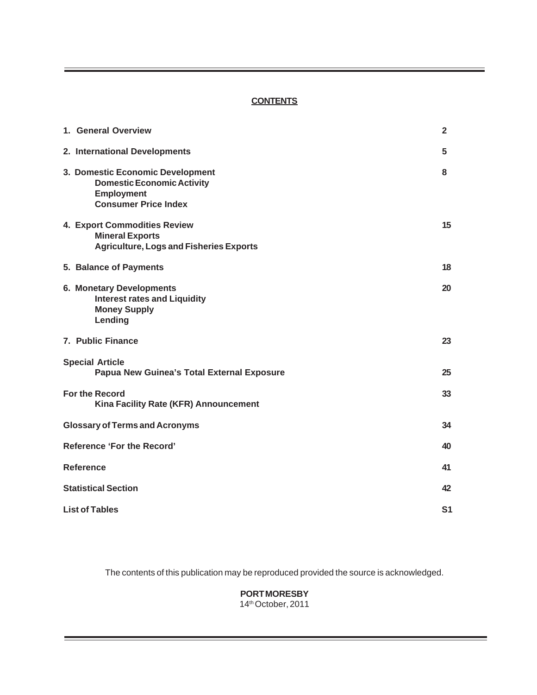#### **CONTENTS**

| 1. General Overview                                                                                                       | $\overline{2}$ |
|---------------------------------------------------------------------------------------------------------------------------|----------------|
| 2. International Developments                                                                                             | 5              |
| 3. Domestic Economic Development<br><b>Domestic Economic Activity</b><br><b>Employment</b><br><b>Consumer Price Index</b> | 8              |
| 4. Export Commodities Review<br><b>Mineral Exports</b><br><b>Agriculture, Logs and Fisheries Exports</b>                  | 15             |
| 5. Balance of Payments                                                                                                    | 18             |
| <b>6. Monetary Developments</b><br><b>Interest rates and Liquidity</b><br><b>Money Supply</b><br>Lending                  | 20             |
| 7. Public Finance                                                                                                         | 23             |
| <b>Special Article</b><br>Papua New Guinea's Total External Exposure                                                      | 25             |
| <b>For the Record</b><br>Kina Facility Rate (KFR) Announcement                                                            | 33             |
| <b>Glossary of Terms and Acronyms</b>                                                                                     | 34             |
| <b>Reference 'For the Record'</b>                                                                                         | 40             |
| Reference                                                                                                                 | 41             |
| <b>Statistical Section</b>                                                                                                | 42             |
| <b>List of Tables</b>                                                                                                     | S <sub>1</sub> |

The contents of this publication may be reproduced provided the source is acknowledged.

# **PORT MORESBY**

14th October, 2011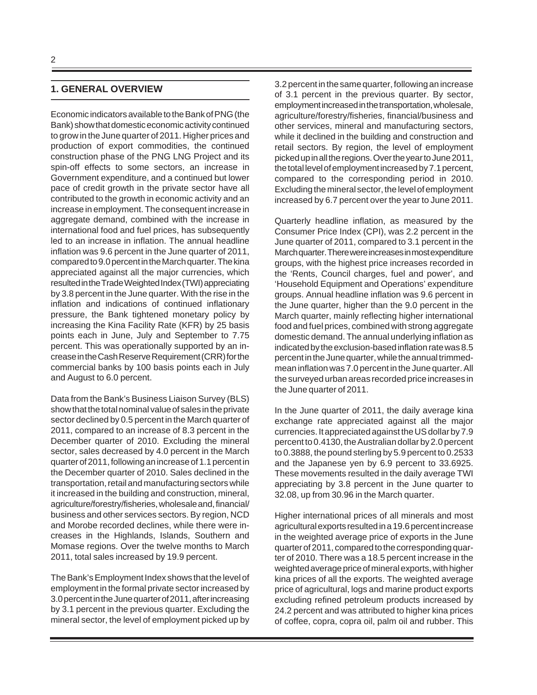## **1. GENERAL OVERVIEW**

Economic indicators available to the Bank of PNG (the Bank) show that domestic economic activity continued to grow in the June quarter of 2011. Higher prices and production of export commodities, the continued construction phase of the PNG LNG Project and its spin-off effects to some sectors, an increase in Government expenditure, and a continued but lower pace of credit growth in the private sector have all contributed to the growth in economic activity and an increase in employment. The consequent increase in aggregate demand, combined with the increase in international food and fuel prices, has subsequently led to an increase in inflation. The annual headline inflation was 9.6 percent in the June quarter of 2011, compared to 9.0 percent in the March quarter. The kina appreciated against all the major currencies, which resulted in the Trade Weighted Index (TWI) appreciating by 3.8 percent in the June quarter. With the rise in the inflation and indications of continued inflationary pressure, the Bank tightened monetary policy by increasing the Kina Facility Rate (KFR) by 25 basis points each in June, July and September to 7.75 percent. This was operationally supported by an increase in the Cash Reserve Requirement (CRR) for the commercial banks by 100 basis points each in July and August to 6.0 percent.

Data from the Bank's Business Liaison Survey (BLS) show that the total nominal value of sales in the private sector declined by 0.5 percent in the March quarter of 2011, compared to an increase of 8.3 percent in the December quarter of 2010. Excluding the mineral sector, sales decreased by 4.0 percent in the March quarter of 2011, following an increase of 1.1 percent in the December quarter of 2010. Sales declined in the transportation, retail and manufacturing sectors while it increased in the building and construction, mineral, agriculture/forestry/fisheries, wholesale and, financial/ business and other services sectors. By region, NCD and Morobe recorded declines, while there were increases in the Highlands, Islands, Southern and Momase regions. Over the twelve months to March 2011, total sales increased by 19.9 percent.

The Bank's Employment Index shows that the level of employment in the formal private sector increased by 3.0 percent in the June quarter of 2011, after increasing by 3.1 percent in the previous quarter. Excluding the mineral sector, the level of employment picked up by 3.2 percent in the same quarter, following an increase of 3.1 percent in the previous quarter. By sector, employment increased in the transportation, wholesale, agriculture/forestry/fisheries, financial/business and other services, mineral and manufacturing sectors, while it declined in the building and construction and retail sectors. By region, the level of employment picked up in all the regions. Over the year to June 2011, the total level of employment increased by 7.1 percent, compared to the corresponding period in 2010. Excluding the mineral sector, the level of employment increased by 6.7 percent over the year to June 2011.

Quarterly headline inflation, as measured by the Consumer Price Index (CPI), was 2.2 percent in the June quarter of 2011, compared to 3.1 percent in the March quarter. There were increases in most expenditure groups, with the highest price increases recorded in the 'Rents, Council charges, fuel and power', and 'Household Equipment and Operations' expenditure groups. Annual headline inflation was 9.6 percent in the June quarter, higher than the 9.0 percent in the March quarter, mainly reflecting higher international food and fuel prices, combined with strong aggregate domestic demand. The annual underlying inflation as indicated by the exclusion-based inflation rate was 8.5 percent in the June quarter, while the annual trimmedmean inflation was 7.0 percent in the June quarter. All the surveyed urban areas recorded price increases in the June quarter of 2011.

In the June quarter of 2011, the daily average kina exchange rate appreciated against all the major currencies. It appreciated against the US dollar by 7.9 percent to 0.4130, the Australian dollar by 2.0 percent to 0.3888, the pound sterling by 5.9 percent to 0.2533 and the Japanese yen by 6.9 percent to 33.6925. These movements resulted in the daily average TWI appreciating by 3.8 percent in the June quarter to 32.08, up from 30.96 in the March quarter.

Higher international prices of all minerals and most agricultural exports resulted in a 19.6 percent increase in the weighted average price of exports in the June quarter of 2011, compared to the corresponding quarter of 2010. There was a 18.5 percent increase in the weighted average price of mineral exports, with higher kina prices of all the exports. The weighted average price of agricultural, logs and marine product exports excluding refined petroleum products increased by 24.2 percent and was attributed to higher kina prices of coffee, copra, copra oil, palm oil and rubber. This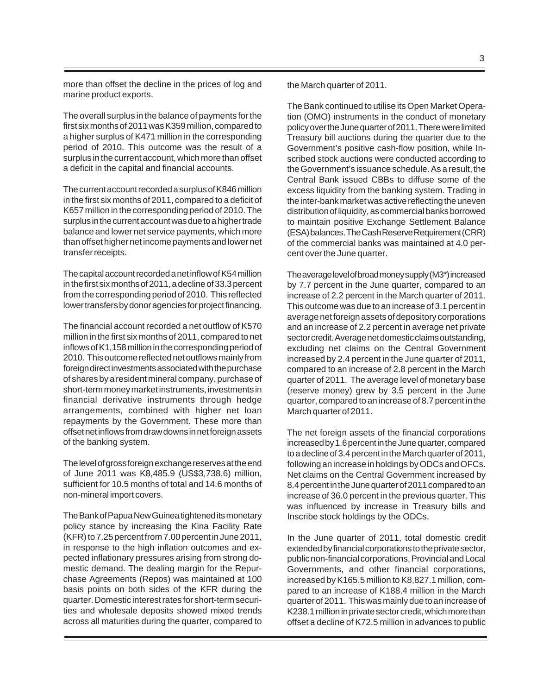more than offset the decline in the prices of log and marine product exports.

The overall surplus in the balance of payments for the first six months of 2011 was K359 million, compared to a higher surplus of K471 million in the corresponding period of 2010. This outcome was the result of a surplus in the current account, which more than offset a deficit in the capital and financial accounts.

The current account recorded a surplus of K846 million in the first six months of 2011, compared to a deficit of K657 million in the corresponding period of 2010. The surplus in the current account was due to a higher trade balance and lower net service payments, which more than offset higher net income payments and lower net transfer receipts.

The capital account recorded a net inflow of K54 million in the first six months of 2011, a decline of 33.3 percent from the corresponding period of 2010. This reflected lower transfers by donor agencies for project financing.

The financial account recorded a net outflow of K570 million in the first six months of 2011, compared to net inflows of K1,158 million in the corresponding period of 2010. This outcome reflected net outflows mainly from foreign direct investments associated with the purchase of shares by a resident mineral company, purchase of short-term money market instruments, investments in financial derivative instruments through hedge arrangements, combined with higher net loan repayments by the Government. These more than offset net inflows from draw downs in net foreign assets of the banking system.

The level of gross foreign exchange reserves at the end of June 2011 was K8,485.9 (US\$3,738.6) million, sufficient for 10.5 months of total and 14.6 months of non-mineral import covers.

The Bank of Papua New Guinea tightened its monetary policy stance by increasing the Kina Facility Rate (KFR) to 7.25 percent from 7.00 percent in June 2011, in response to the high inflation outcomes and expected inflationary pressures arising from strong domestic demand. The dealing margin for the Repurchase Agreements (Repos) was maintained at 100 basis points on both sides of the KFR during the quarter. Domestic interest rates for short-term securities and wholesale deposits showed mixed trends across all maturities during the quarter, compared to the March quarter of 2011.

The Bank continued to utilise its Open Market Operation (OMO) instruments in the conduct of monetary policy over the June quarter of 2011. There were limited Treasury bill auctions during the quarter due to the Government's positive cash-flow position, while Inscribed stock auctions were conducted according to the Government's issuance schedule. As a result, the Central Bank issued CBBs to diffuse some of the excess liquidity from the banking system. Trading in the inter-bank market was active reflecting the uneven distribution of liquidity, as commercial banks borrowed to maintain positive Exchange Settlement Balance (ESA) balances. The Cash Reserve Requirement (CRR) of the commercial banks was maintained at 4.0 percent over the June quarter.

The average level of broad money supply (M3\*) increased by 7.7 percent in the June quarter, compared to an increase of 2.2 percent in the March quarter of 2011. This outcome was due to an increase of 3.1 percent in average net foreign assets of depository corporations and an increase of 2.2 percent in average net private sector credit. Average net domestic claims outstanding, excluding net claims on the Central Government increased by 2.4 percent in the June quarter of 2011, compared to an increase of 2.8 percent in the March quarter of 2011. The average level of monetary base (reserve money) grew by 3.5 percent in the June quarter, compared to an increase of 8.7 percent in the March quarter of 2011.

The net foreign assets of the financial corporations increased by 1.6 percent in the June quarter, compared to a decline of 3.4 percent in the March quarter of 2011, following an increase in holdings by ODCs and OFCs. Net claims on the Central Government increased by 8.4 percent in the June quarter of 2011 compared to an increase of 36.0 percent in the previous quarter. This was influenced by increase in Treasury bills and Inscribe stock holdings by the ODCs.

In the June quarter of 2011, total domestic credit extended by financial corporations to the private sector, public non-financial corporations, Provincial and Local Governments, and other financial corporations, increased by K165.5 million to K8,827.1 million, compared to an increase of K188.4 million in the March quarter of 2011. This was mainly due to an increase of K238.1 million in private sector credit, which more than offset a decline of K72.5 million in advances to public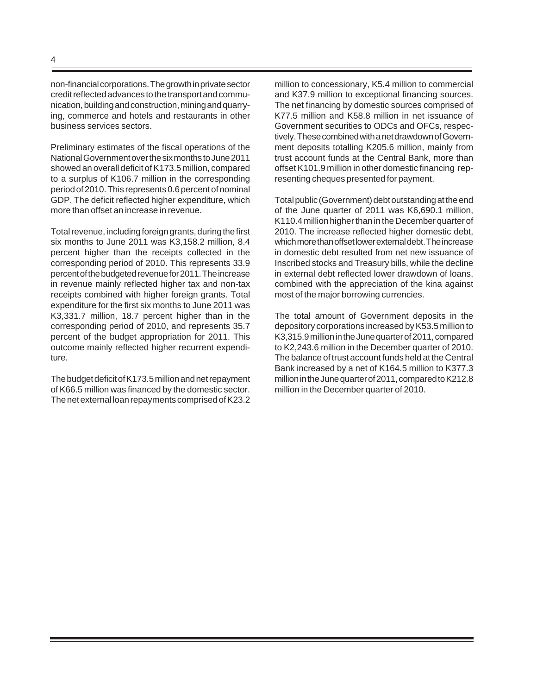non-financial corporations. The growth in private sector credit reflected advances to the transport and communication, building and construction, mining and quarrying, commerce and hotels and restaurants in other business services sectors.

Preliminary estimates of the fiscal operations of the National Government over the six months to June 2011 showed an overall deficit of K173.5 million, compared to a surplus of K106.7 million in the corresponding period of 2010. This represents 0.6 percent of nominal GDP. The deficit reflected higher expenditure, which more than offset an increase in revenue.

Total revenue, including foreign grants, during the first six months to June 2011 was K3,158.2 million, 8.4 percent higher than the receipts collected in the corresponding period of 2010. This represents 33.9 percent of the budgeted revenue for 2011. The increase in revenue mainly reflected higher tax and non-tax receipts combined with higher foreign grants. Total expenditure for the first six months to June 2011 was K3,331.7 million, 18.7 percent higher than in the corresponding period of 2010, and represents 35.7 percent of the budget appropriation for 2011. This outcome mainly reflected higher recurrent expenditure.

The budget deficit of K173.5 million and net repayment of K66.5 million was financed by the domestic sector. The net external loan repayments comprised of K23.2

million to concessionary, K5.4 million to commercial and K37.9 million to exceptional financing sources. The net financing by domestic sources comprised of K77.5 million and K58.8 million in net issuance of Government securities to ODCs and OFCs, respectively. These combined with a net drawdown of Government deposits totalling K205.6 million, mainly from trust account funds at the Central Bank, more than offset K101.9 million in other domestic financing representing cheques presented for payment.

Total public (Government) debt outstanding at the end of the June quarter of 2011 was K6,690.1 million, K110.4 million higher than in the December quarter of 2010. The increase reflected higher domestic debt, which more than offset lower external debt. The increase in domestic debt resulted from net new issuance of Inscribed stocks and Treasury bills, while the decline in external debt reflected lower drawdown of loans, combined with the appreciation of the kina against most of the major borrowing currencies.

The total amount of Government deposits in the depository corporations increased by K53.5 million to K3,315.9 million in the June quarter of 2011, compared to K2,243.6 million in the December quarter of 2010. The balance of trust account funds held at the Central Bank increased by a net of K164.5 million to K377.3 million in the June quarter of 2011, compared to K212.8 million in the December quarter of 2010.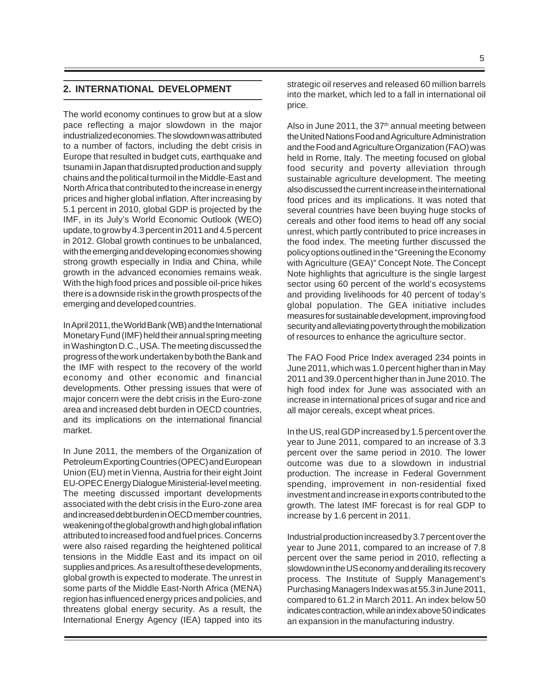#### **2. INTERNATIONAL DEVELOPMENT**

The world economy continues to grow but at a slow pace reflecting a major slowdown in the major industrialized economies. The slowdown was attributed to a number of factors, including the debt crisis in Europe that resulted in budget cuts, earthquake and tsunami in Japan that disrupted production and supply chains and the political turmoil in the Middle-East and North Africa that contributed to the increase in energy prices and higher global inflation. After increasing by 5.1 percent in 2010, global GDP is projected by the IMF, in its July's World Economic Outlook (WEO) update, to grow by 4.3 percent in 2011 and 4.5 percent in 2012. Global growth continues to be unbalanced, with the emerging and developing economies showing strong growth especially in India and China, while growth in the advanced economies remains weak. With the high food prices and possible oil-price hikes there is a downside risk in the growth prospects of the emerging and developed countries.

In April 2011, the World Bank (WB) and the International Monetary Fund (IMF) held their annual spring meeting in Washington D.C., USA. The meeting discussed the progress of the work undertaken by both the Bank and the IMF with respect to the recovery of the world economy and other economic and financial developments. Other pressing issues that were of major concern were the debt crisis in the Euro-zone area and increased debt burden in OECD countries, and its implications on the international financial market.

In June 2011, the members of the Organization of Petroleum Exporting Countries (OPEC) and European Union (EU) met in Vienna, Austria for their eight Joint EU-OPEC Energy Dialogue Ministerial-level meeting. The meeting discussed important developments associated with the debt crisis in the Euro-zone area and increased debt burden in OECD member countries, weakening of the global growth and high global inflation attributed to increased food and fuel prices. Concerns were also raised regarding the heightened political tensions in the Middle East and its impact on oil supplies and prices. As a result of these developments, global growth is expected to moderate. The unrest in some parts of the Middle East-North Africa (MENA) region has influenced energy prices and policies, and threatens global energy security. As a result, the International Energy Agency (IEA) tapped into its

strategic oil reserves and released 60 million barrels into the market, which led to a fall in international oil price.

Also in June 2011, the  $37<sup>th</sup>$  annual meeting between the United Nations Food and Agriculture Administration and the Food and Agriculture Organization (FAO) was held in Rome, Italy. The meeting focused on global food security and poverty alleviation through sustainable agriculture development. The meeting also discussed the current increase in the international food prices and its implications. It was noted that several countries have been buying huge stocks of cereals and other food items to head off any social unrest, which partly contributed to price increases in the food index. The meeting further discussed the policy options outlined in the "Greening the Economy with Agriculture (GEA)" Concept Note. The Concept Note highlights that agriculture is the single largest sector using 60 percent of the world's ecosystems and providing livelihoods for 40 percent of today's global population. The GEA initiative includes measures for sustainable development, improving food security and alleviating poverty through the mobilization of resources to enhance the agriculture sector.

The FAO Food Price Index averaged 234 points in June 2011, which was 1.0 percent higher than in May 2011 and 39.0 percent higher than in June 2010. The high food index for June was associated with an increase in international prices of sugar and rice and all major cereals, except wheat prices.

In the US, real GDP increased by 1.5 percent over the year to June 2011, compared to an increase of 3.3 percent over the same period in 2010. The lower outcome was due to a slowdown in industrial production. The increase in Federal Government spending, improvement in non-residential fixed investment and increase in exports contributed to the growth. The latest IMF forecast is for real GDP to increase by 1.6 percent in 2011.

Industrial production increased by 3.7 percent over the year to June 2011, compared to an increase of 7.8 percent over the same period in 2010, reflecting a slowdown in the US economy and derailing its recovery process. The Institute of Supply Management's Purchasing Managers Index was at 55.3 in June 2011, compared to 61.2 in March 2011. An index below 50 indicates contraction, while an index above 50 indicates an expansion in the manufacturing industry.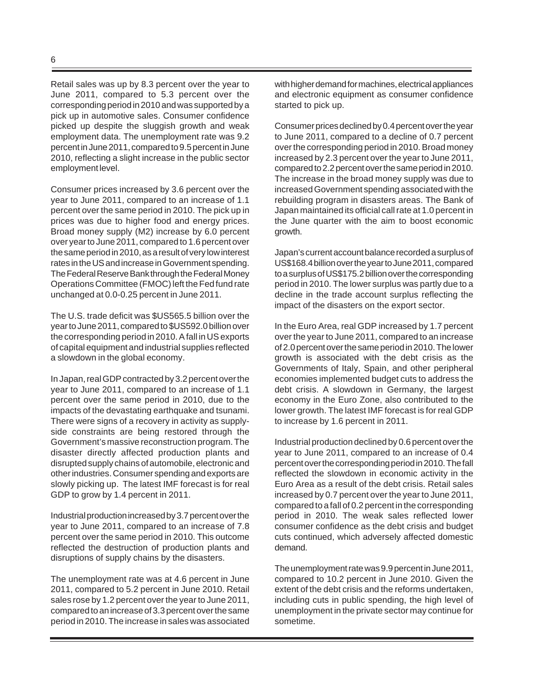Retail sales was up by 8.3 percent over the year to June 2011, compared to 5.3 percent over the corresponding period in 2010 and was supported by a pick up in automotive sales. Consumer confidence picked up despite the sluggish growth and weak employment data. The unemployment rate was 9.2 percent in June 2011, compared to 9.5 percent in June 2010, reflecting a slight increase in the public sector employment level.

Consumer prices increased by 3.6 percent over the year to June 2011, compared to an increase of 1.1 percent over the same period in 2010. The pick up in prices was due to higher food and energy prices. Broad money supply (M2) increase by 6.0 percent over year to June 2011, compared to 1.6 percent over the same period in 2010, as a result of very low interest rates in the US and increase in Government spending. The Federal Reserve Bank through the Federal Money Operations Committee (FMOC) left the Fed fund rate unchanged at 0.0-0.25 percent in June 2011.

The U.S. trade deficit was \$US565.5 billion over the year to June 2011, compared to \$US592.0 billion over the corresponding period in 2010. A fall in US exports of capital equipment and industrial supplies reflected a slowdown in the global economy.

In Japan, real GDP contracted by 3.2 percent over the year to June 2011, compared to an increase of 1.1 percent over the same period in 2010, due to the impacts of the devastating earthquake and tsunami. There were signs of a recovery in activity as supplyside constraints are being restored through the Government's massive reconstruction program. The disaster directly affected production plants and disrupted supply chains of automobile, electronic and other industries. Consumer spending and exports are slowly picking up. The latest IMF forecast is for real GDP to grow by 1.4 percent in 2011.

Industrial production increased by 3.7 percent over the year to June 2011, compared to an increase of 7.8 percent over the same period in 2010. This outcome reflected the destruction of production plants and disruptions of supply chains by the disasters.

The unemployment rate was at 4.6 percent in June 2011, compared to 5.2 percent in June 2010. Retail sales rose by 1.2 percent over the year to June 2011, compared to an increase of 3.3 percent over the same period in 2010. The increase in sales was associated

with higher demand for machines, electrical appliances and electronic equipment as consumer confidence started to pick up.

Consumer prices declined by 0.4 percent over the year to June 2011, compared to a decline of 0.7 percent over the corresponding period in 2010. Broad money increased by 2.3 percent over the year to June 2011, compared to 2.2 percent over the same period in 2010. The increase in the broad money supply was due to increased Government spending associated with the rebuilding program in disasters areas. The Bank of Japan maintained its official call rate at 1.0 percent in the June quarter with the aim to boost economic growth.

Japan's current account balance recorded a surplus of US\$168.4 billion over the year to June 2011, compared to a surplus of US\$175.2 billion over the corresponding period in 2010. The lower surplus was partly due to a decline in the trade account surplus reflecting the impact of the disasters on the export sector.

In the Euro Area, real GDP increased by 1.7 percent over the year to June 2011, compared to an increase of 2.0 percent over the same period in 2010. The lower growth is associated with the debt crisis as the Governments of Italy, Spain, and other peripheral economies implemented budget cuts to address the debt crisis. A slowdown in Germany, the largest economy in the Euro Zone, also contributed to the lower growth. The latest IMF forecast is for real GDP to increase by 1.6 percent in 2011.

Industrial production declined by 0.6 percent over the year to June 2011, compared to an increase of 0.4 percent over the corresponding period in 2010. The fall reflected the slowdown in economic activity in the Euro Area as a result of the debt crisis. Retail sales increased by 0.7 percent over the year to June 2011, compared to a fall of 0.2 percent in the corresponding period in 2010. The weak sales reflected lower consumer confidence as the debt crisis and budget cuts continued, which adversely affected domestic demand.

The unemployment rate was 9.9 percent in June 2011, compared to 10.2 percent in June 2010. Given the extent of the debt crisis and the reforms undertaken, including cuts in public spending, the high level of unemployment in the private sector may continue for sometime.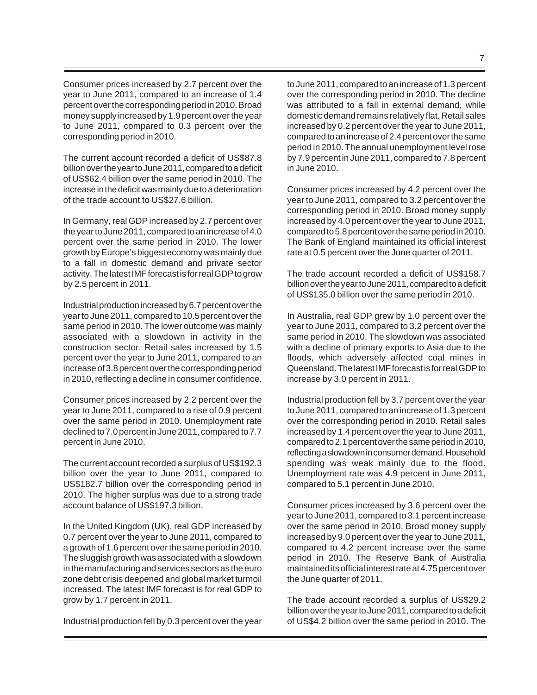Consumer prices increased by 2.7 percent over the year to June 2011, compared to an increase of 1.4 percent over the corresponding period in 2010. Broad money supply increased by 1.9 percent over the year to June 2011, compared to 0.3 percent over the corresponding period in 2010.

The current account recorded a deficit of US\$87.8 billion over the year to June 2011, compared to a deficit of US\$62.4 billion over the same period in 2010. The increase in the deficit was mainly due to a deterioration of the trade account to US\$27.6 billion.

In Germany, real GDP increased by 2.7 percent over the year to June 2011, compared to an increase of 4.0 percent over the same period in 2010. The lower growth by Europe's biggest economy was mainly due to a fall in domestic demand and private sector activity. The latest IMF forecast is for real GDP to grow by 2.5 percent in 2011.

Industrial production increased by 6.7 percent over the year to June 2011, compared to 10.5 percent over the same period in 2010. The lower outcome was mainly associated with a slowdown in activity in the construction sector. Retail sales increased by 1.5 percent over the year to June 2011, compared to an increase of 3.8 percent over the corresponding period in 2010, reflecting a decline in consumer confidence.

Consumer prices increased by 2.2 percent over the year to June 2011, compared to a rise of 0.9 percent over the same period in 2010. Unemployment rate declined to 7.0 percent in June 2011, compared to 7.7 percent in June 2010.

The current account recorded a surplus of US\$192.3 billion over the year to June 2011, compared to US\$182.7 billion over the corresponding period in 2010. The higher surplus was due to a strong trade account balance of US\$197.3 billion.

In the United Kingdom (UK), real GDP increased by 0.7 percent over the year to June 2011, compared to a growth of 1.6 percent over the same period in 2010. The sluggish growth was associated with a slowdown in the manufacturing and services sectors as the euro zone debt crisis deepened and global market turmoil increased. The latest IMF forecast is for real GDP to grow by 1.7 percent in 2011.

Industrial production fell by 0.3 percent over the year

to June 2011, compared to an increase of 1.3 percent over the corresponding period in 2010. The decline was attributed to a fall in external demand, while domestic demand remains relatively flat. Retail sales increased by 0.2 percent over the year to June 2011, compared to an increase of 2.4 percent over the same period in 2010. The annual unemployment level rose by 7.9 percent in June 2011, compared to 7.8 percent

Consumer prices increased by 4.2 percent over the year to June 2011, compared to 3.2 percent over the corresponding period in 2010. Broad money supply increased by 4.0 percent over the year to June 2011, compared to 5.8 percent over the same period in 2010. The Bank of England maintained its official interest rate at 0.5 percent over the June quarter of 2011.

in June 2010.

The trade account recorded a deficit of US\$158.7 billion over the year to June 2011, compared to a deficit of US\$135.0 billion over the same period in 2010.

In Australia, real GDP grew by 1.0 percent over the year to June 2011, compared to 3.2 percent over the same period in 2010. The slowdown was associated with a decline of primary exports to Asia due to the floods, which adversely affected coal mines in Queensland. The latest IMF forecast is for real GDP to increase by 3.0 percent in 2011.

Industrial production fell by 3.7 percent over the year to June 2011, compared to an increase of 1.3 percent over the corresponding period in 2010. Retail sales increased by 1.4 percent over the year to June 2011, compared to 2.1 percent over the same period in 2010, reflecting a slowdown in consumer demand. Household spending was weak mainly due to the flood. Unemployment rate was 4.9 percent in June 2011, compared to 5.1 percent in June 2010.

Consumer prices increased by 3.6 percent over the year to June 2011, compared to 3.1 percent increase over the same period in 2010. Broad money supply increased by 9.0 percent over the year to June 2011, compared to 4.2 percent increase over the same period in 2010. The Reserve Bank of Australia maintained its official interest rate at 4.75 percent over the June quarter of 2011.

The trade account recorded a surplus of US\$29.2 billion over the year to June 2011, compared to a deficit of US\$4.2 billion over the same period in 2010. The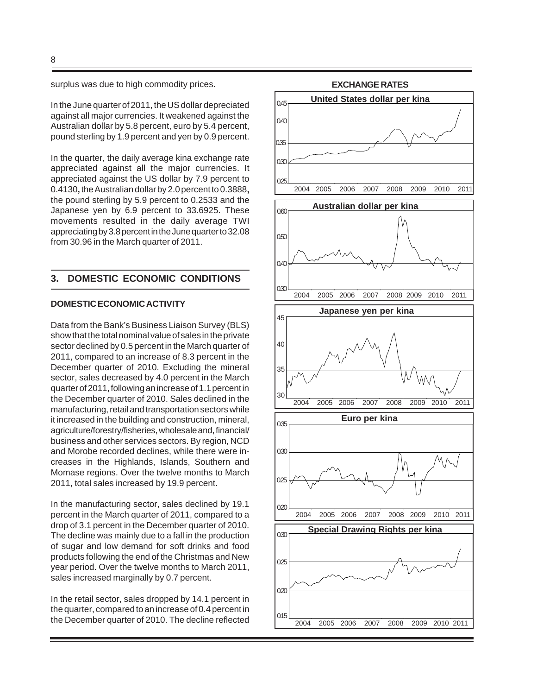surplus was due to high commodity prices.

In the June quarter of 2011, the US dollar depreciated against all major currencies. It weakened against the Australian dollar by 5.8 percent, euro by 5.4 percent, pound sterling by 1.9 percent and yen by 0.9 percent.

In the quarter, the daily average kina exchange rate appreciated against all the major currencies. It appreciated against the US dollar by 7.9 percent to 0.4130**,** the Australian dollar by 2.0 percent to 0.3888**,** the pound sterling by 5.9 percent to 0.2533 and the Japanese yen by 6.9 percent to 33.6925. These movements resulted in the daily average TWI appreciating by 3.8 percent in the June quarter to 32.08 from 30.96 in the March quarter of 2011.

#### **3. DOMESTIC ECONOMIC CONDITIONS**

#### **DOMESTIC ECONOMIC ACTIVITY**

Data from the Bank's Business Liaison Survey (BLS) show that the total nominal value of sales in the private sector declined by 0.5 percent in the March quarter of 2011, compared to an increase of 8.3 percent in the December quarter of 2010. Excluding the mineral sector, sales decreased by 4.0 percent in the March quarter of 2011, following an increase of 1.1 percent in the December quarter of 2010. Sales declined in the manufacturing, retail and transportation sectors while it increased in the building and construction, mineral, agriculture/forestry/fisheries, wholesale and, financial/ business and other services sectors. By region, NCD and Morobe recorded declines, while there were increases in the Highlands, Islands, Southern and Momase regions. Over the twelve months to March 2011, total sales increased by 19.9 percent.

In the manufacturing sector, sales declined by 19.1 percent in the March quarter of 2011, compared to a drop of 3.1 percent in the December quarter of 2010. The decline was mainly due to a fall in the production of sugar and low demand for soft drinks and food products following the end of the Christmas and New year period. Over the twelve months to March 2011, sales increased marginally by 0.7 percent.

In the retail sector, sales dropped by 14.1 percent in the quarter, compared to an increase of 0.4 percent in the December quarter of 2010. The decline reflected

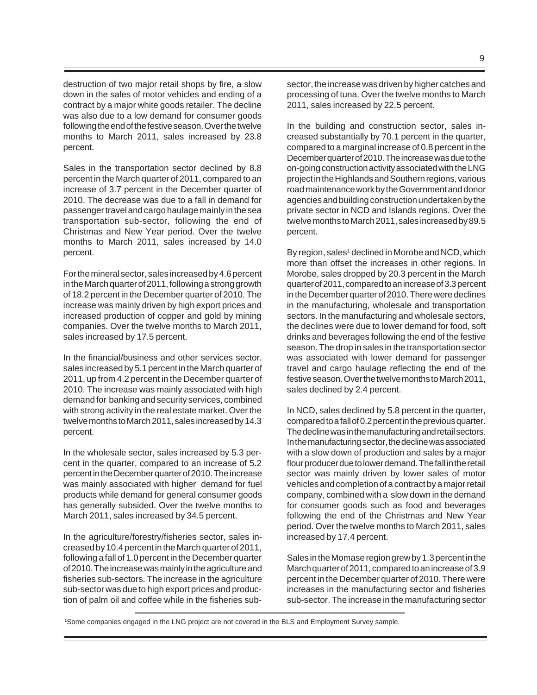destruction of two major retail shops by fire, a slow down in the sales of motor vehicles and ending of a contract by a major white goods retailer. The decline was also due to a low demand for consumer goods following the end of the festive season. Over the twelve months to March 2011, sales increased by 23.8 percent.

Sales in the transportation sector declined by 8.8 percent in the March quarter of 2011, compared to an increase of 3.7 percent in the December quarter of 2010. The decrease was due to a fall in demand for passenger travel and cargo haulage mainly in the sea transportation sub-sector, following the end of Christmas and New Year period. Over the twelve months to March 2011, sales increased by 14.0 percent.

For the mineral sector, sales increased by 4.6 percent in the March quarter of 2011, following a strong growth of 18.2 percent in the December quarter of 2010. The increase was mainly driven by high export prices and increased production of copper and gold by mining companies. Over the twelve months to March 2011, sales increased by 17.5 percent.

In the financial/business and other services sector, sales increased by 5.1 percent in the March quarter of 2011, up from 4.2 percent in the December quarter of 2010. The increase was mainly associated with high demand for banking and security services, combined with strong activity in the real estate market. Over the twelve months to March 2011, sales increased by 14.3 percent.

In the wholesale sector, sales increased by 5.3 percent in the quarter, compared to an increase of 5.2 percent in the December quarter of 2010. The increase was mainly associated with higher demand for fuel products while demand for general consumer goods has generally subsided. Over the twelve months to March 2011, sales increased by 34.5 percent.

In the agriculture/forestry/fisheries sector, sales increased by 10.4 percent in the March quarter of 2011, following a fall of 1.0 percent in the December quarter of 2010. The increase was mainly in the agriculture and fisheries sub-sectors. The increase in the agriculture sub-sector was due to high export prices and production of palm oil and coffee while in the fisheries sub-

sector, the increase was driven by higher catches and processing of tuna. Over the twelve months to March 2011, sales increased by 22.5 percent.

In the building and construction sector, sales increased substantially by 70.1 percent in the quarter, compared to a marginal increase of 0.8 percent in the December quarter of 2010. The increase was due to the on-going construction activity associated with the LNG project in the Highlands and Southern regions, various road maintenance work by the Government and donor agencies and building construction undertaken by the private sector in NCD and Islands regions. Over the twelve months to March 2011, sales increased by 89.5 percent.

By region, sales<sup>1</sup> declined in Morobe and NCD, which more than offset the increases in other regions. In Morobe, sales dropped by 20.3 percent in the March quarter of 2011, compared to an increase of 3.3 percent in the December quarter of 2010. There were declines in the manufacturing, wholesale and transportation sectors. In the manufacturing and wholesale sectors, the declines were due to lower demand for food, soft drinks and beverages following the end of the festive season. The drop in sales in the transportation sector was associated with lower demand for passenger travel and cargo haulage reflecting the end of the festive season. Over the twelve months to March 2011, sales declined by 2.4 percent.

In NCD, sales declined by 5.8 percent in the quarter, compared to a fall of 0.2 percent in the previous quarter. The decline was in the manufacturing and retail sectors. In the manufacturing sector, the decline was associated with a slow down of production and sales by a major flour producer due to lower demand. The fall in the retail sector was mainly driven by lower sales of motor vehicles and completion of a contract by a major retail company, combined with a slow down in the demand for consumer goods such as food and beverages following the end of the Christmas and New Year period. Over the twelve months to March 2011, sales increased by 17.4 percent.

Sales in the Momase region grew by 1.3 percent in the March quarter of 2011, compared to an increase of 3.9 percent in the December quarter of 2010. There were increases in the manufacturing sector and fisheries sub-sector. The increase in the manufacturing sector

1Some companies engaged in the LNG project are not covered in the BLS and Employment Survey sample.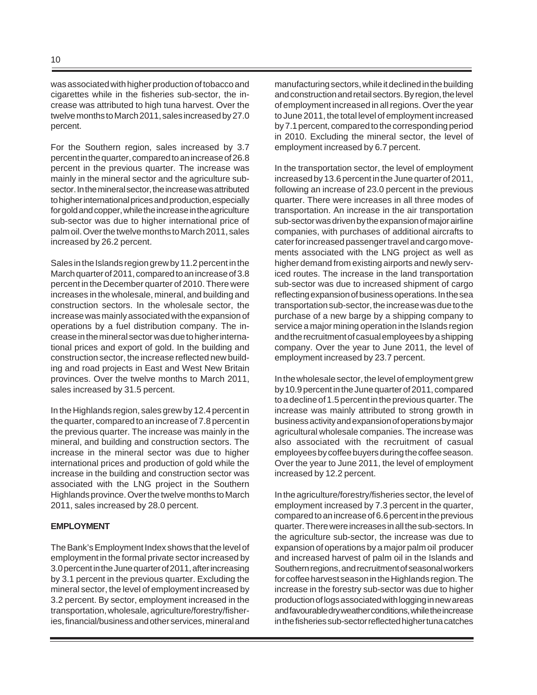was associated with higher production of tobacco and cigarettes while in the fisheries sub-sector, the increase was attributed to high tuna harvest. Over the twelve months to March 2011, sales increased by 27.0 percent.

For the Southern region, sales increased by 3.7 percent in the quarter, compared to an increase of 26.8 percent in the previous quarter. The increase was mainly in the mineral sector and the agriculture subsector. In the mineral sector, the increase was attributed to higher international prices and production, especially for gold and copper, while the increase in the agriculture sub-sector was due to higher international price of palm oil. Over the twelve months to March 2011, sales increased by 26.2 percent.

Sales in the Islands region grew by 11.2 percent in the March quarter of 2011, compared to an increase of 3.8 percent in the December quarter of 2010. There were increases in the wholesale, mineral, and building and construction sectors. In the wholesale sector, the increase was mainly associated with the expansion of operations by a fuel distribution company. The increase in the mineral sector was due to higher international prices and export of gold. In the building and construction sector, the increase reflected new building and road projects in East and West New Britain provinces. Over the twelve months to March 2011, sales increased by 31.5 percent.

In the Highlands region, sales grew by 12.4 percent in the quarter, compared to an increase of 7.8 percent in the previous quarter. The increase was mainly in the mineral, and building and construction sectors. The increase in the mineral sector was due to higher international prices and production of gold while the increase in the building and construction sector was associated with the LNG project in the Southern Highlands province. Over the twelve months to March 2011, sales increased by 28.0 percent.

#### **EMPLOYMENT**

The Bank's Employment Index shows that the level of employment in the formal private sector increased by 3.0 percent in the June quarter of 2011, after increasing by 3.1 percent in the previous quarter. Excluding the mineral sector, the level of employment increased by 3.2 percent. By sector, employment increased in the transportation, wholesale, agriculture/forestry/fisheries, financial/business and other services, mineral and manufacturing sectors, while it declined in the building and construction and retail sectors. By region, the level of employment increased in all regions. Over the year to June 2011, the total level of employment increased by 7.1 percent, compared to the corresponding period in 2010. Excluding the mineral sector, the level of employment increased by 6.7 percent.

In the transportation sector, the level of employment increased by 13.6 percent in the June quarter of 2011, following an increase of 23.0 percent in the previous quarter. There were increases in all three modes of transportation. An increase in the air transportation sub-sector was driven by the expansion of major airline companies, with purchases of additional aircrafts to cater for increased passenger travel and cargo movements associated with the LNG project as well as higher demand from existing airports and newly serviced routes. The increase in the land transportation sub-sector was due to increased shipment of cargo reflecting expansion of business operations. In the sea transportation sub-sector, the increase was due to the purchase of a new barge by a shipping company to service a major mining operation in the Islands region and the recruitment of casual employees by a shipping company. Over the year to June 2011, the level of employment increased by 23.7 percent.

In the wholesale sector, the level of employment grew by 10.9 percent in the June quarter of 2011, compared to a decline of 1.5 percent in the previous quarter. The increase was mainly attributed to strong growth in business activity and expansion of operations by major agricultural wholesale companies. The increase was also associated with the recruitment of casual employees by coffee buyers during the coffee season. Over the year to June 2011, the level of employment increased by 12.2 percent.

In the agriculture/forestry/fisheries sector, the level of employment increased by 7.3 percent in the quarter, compared to an increase of 6.6 percent in the previous quarter. There were increases in all the sub-sectors. In the agriculture sub-sector, the increase was due to expansion of operations by a major palm oil producer and increased harvest of palm oil in the Islands and Southern regions, and recruitment of seasonal workers for coffee harvest season in the Highlands region. The increase in the forestry sub-sector was due to higher production of logs associated with logging in new areas and favourable dry weather conditions, while the increase in the fisheries sub-sector reflected higher tuna catches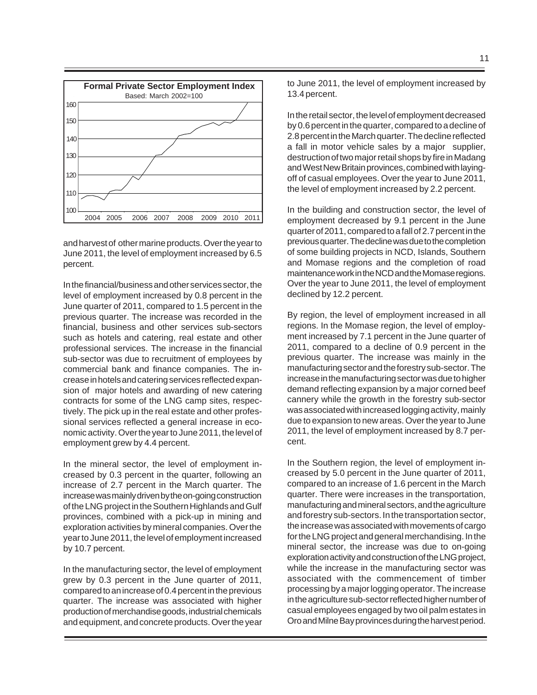

and harvest of other marine products. Over the year to June 2011, the level of employment increased by 6.5 percent.

In the financial/business and other services sector, the level of employment increased by 0.8 percent in the June quarter of 2011, compared to 1.5 percent in the previous quarter. The increase was recorded in the financial, business and other services sub-sectors such as hotels and catering, real estate and other professional services. The increase in the financial sub-sector was due to recruitment of employees by commercial bank and finance companies. The increase in hotels and catering services reflected expansion of major hotels and awarding of new catering contracts for some of the LNG camp sites, respectively. The pick up in the real estate and other professional services reflected a general increase in economic activity. Over the year to June 2011, the level of employment grew by 4.4 percent.

In the mineral sector, the level of employment increased by 0.3 percent in the quarter, following an increase of 2.7 percent in the March quarter. The increase was mainly driven by the on-going construction of the LNG project in the Southern Highlands and Gulf provinces, combined with a pick-up in mining and exploration activities by mineral companies. Over the year to June 2011, the level of employment increased by 10.7 percent.

In the manufacturing sector, the level of employment grew by 0.3 percent in the June quarter of 2011, compared to an increase of 0.4 percent in the previous quarter. The increase was associated with higher production of merchandise goods, industrial chemicals and equipment, and concrete products. Over the year to June 2011, the level of employment increased by 13.4 percent.

In the retail sector, the level of employment decreased by 0.6 percent in the quarter, compared to a decline of 2.8 percent in the March quarter. The decline reflected a fall in motor vehicle sales by a major supplier, destruction of two major retail shops by fire in Madang and West New Britain provinces, combined with layingoff of casual employees. Over the year to June 2011, the level of employment increased by 2.2 percent.

In the building and construction sector, the level of employment decreased by 9.1 percent in the June quarter of 2011, compared to a fall of 2.7 percent in the previous quarter. The decline was due to the completion of some building projects in NCD, Islands, Southern and Momase regions and the completion of road maintenance work in the NCD and the Momase regions. Over the year to June 2011, the level of employment declined by 12.2 percent.

By region, the level of employment increased in all regions. In the Momase region, the level of employment increased by 7.1 percent in the June quarter of 2011, compared to a decline of 0.9 percent in the previous quarter. The increase was mainly in the manufacturing sector and the forestry sub-sector. The increase in the manufacturing sector was due to higher demand reflecting expansion by a major corned beef cannery while the growth in the forestry sub-sector was associated with increased logging activity, mainly due to expansion to new areas. Over the year to June 2011, the level of employment increased by 8.7 percent.

In the Southern region, the level of employment increased by 5.0 percent in the June quarter of 2011, compared to an increase of 1.6 percent in the March quarter. There were increases in the transportation, manufacturing and mineral sectors, and the agriculture and forestry sub-sectors. In the transportation sector, the increase was associated with movements of cargo for the LNG project and general merchandising. In the mineral sector, the increase was due to on-going exploration activity and construction of the LNG project, while the increase in the manufacturing sector was associated with the commencement of timber processing by a major logging operator. The increase in the agriculture sub-sector reflected higher number of casual employees engaged by two oil palm estates in Oro and Milne Bay provinces during the harvest period.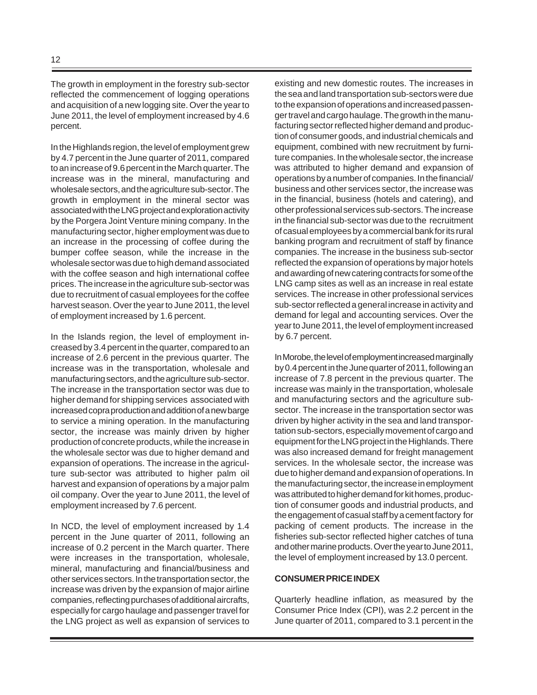The growth in employment in the forestry sub-sector reflected the commencement of logging operations and acquisition of a new logging site. Over the year to June 2011, the level of employment increased by 4.6 percent.

In the Highlands region, the level of employment grew by 4.7 percent in the June quarter of 2011, compared to an increase of 9.6 percent in the March quarter. The increase was in the mineral, manufacturing and wholesale sectors, and the agriculture sub-sector. The growth in employment in the mineral sector was associated with the LNG project and exploration activity by the Porgera Joint Venture mining company. In the manufacturing sector, higher employment was due to an increase in the processing of coffee during the bumper coffee season, while the increase in the wholesale sector was due to high demand associated with the coffee season and high international coffee prices. The increase in the agriculture sub-sector was due to recruitment of casual employees for the coffee harvest season. Over the year to June 2011, the level of employment increased by 1.6 percent.

In the Islands region, the level of employment increased by 3.4 percent in the quarter, compared to an increase of 2.6 percent in the previous quarter. The increase was in the transportation, wholesale and manufacturing sectors, and the agriculture sub-sector. The increase in the transportation sector was due to higher demand for shipping services associated with increased copra production and addition of a new barge to service a mining operation. In the manufacturing sector, the increase was mainly driven by higher production of concrete products, while the increase in the wholesale sector was due to higher demand and expansion of operations. The increase in the agriculture sub-sector was attributed to higher palm oil harvest and expansion of operations by a major palm oil company. Over the year to June 2011, the level of employment increased by 7.6 percent.

In NCD, the level of employment increased by 1.4 percent in the June quarter of 2011, following an increase of 0.2 percent in the March quarter. There were increases in the transportation, wholesale, mineral, manufacturing and financial/business and other services sectors. In the transportation sector, the increase was driven by the expansion of major airline companies, reflecting purchases of additional aircrafts, especially for cargo haulage and passenger travel for the LNG project as well as expansion of services to existing and new domestic routes. The increases in the sea and land transportation sub-sectors were due to the expansion of operations and increased passenger travel and cargo haulage. The growth in the manufacturing sector reflected higher demand and production of consumer goods, and industrial chemicals and equipment, combined with new recruitment by furniture companies. In the wholesale sector, the increase was attributed to higher demand and expansion of operations by a number of companies. In the financial/ business and other services sector, the increase was in the financial, business (hotels and catering), and other professional services sub-sectors. The increase in the financial sub-sector was due to the recruitment of casual employees by a commercial bank for its rural banking program and recruitment of staff by finance companies. The increase in the business sub-sector reflected the expansion of operations by major hotels and awarding of new catering contracts for some of the LNG camp sites as well as an increase in real estate services. The increase in other professional services sub-sector reflected a general increase in activity and demand for legal and accounting services. Over the year to June 2011, the level of employment increased by 6.7 percent.

In Morobe, the level of employment increased marginally by 0.4 percent in the June quarter of 2011, following an increase of 7.8 percent in the previous quarter. The increase was mainly in the transportation, wholesale and manufacturing sectors and the agriculture subsector. The increase in the transportation sector was driven by higher activity in the sea and land transportation sub-sectors, especially movement of cargo and equipment for the LNG project in the Highlands. There was also increased demand for freight management services. In the wholesale sector, the increase was due to higher demand and expansion of operations. In the manufacturing sector, the increase in employment was attributed to higher demand for kit homes, production of consumer goods and industrial products, and the engagement of casual staff by a cement factory for packing of cement products. The increase in the fisheries sub-sector reflected higher catches of tuna and other marine products. Over the year to June 2011, the level of employment increased by 13.0 percent.

#### **CONSUMER PRICE INDEX**

Quarterly headline inflation, as measured by the Consumer Price Index (CPI), was 2.2 percent in the June quarter of 2011, compared to 3.1 percent in the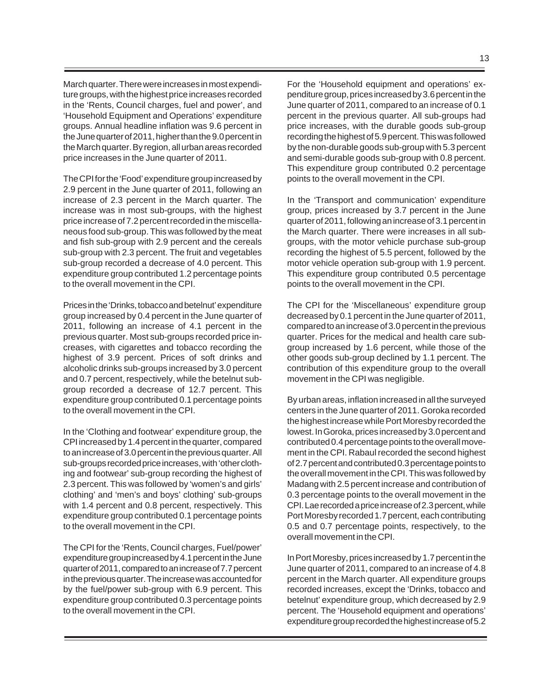March quarter. There were increases in most expenditure groups, with the highest price increases recorded in the 'Rents, Council charges, fuel and power', and 'Household Equipment and Operations' expenditure groups. Annual headline inflation was 9.6 percent in the June quarter of 2011, higher than the 9.0 percent in the March quarter. By region, all urban areas recorded price increases in the June quarter of 2011.

The CPI for the 'Food' expenditure group increased by 2.9 percent in the June quarter of 2011, following an increase of 2.3 percent in the March quarter. The increase was in most sub-groups, with the highest price increase of 7.2 percent recorded in the miscellaneous food sub-group. This was followed by the meat and fish sub-group with 2.9 percent and the cereals sub-group with 2.3 percent. The fruit and vegetables sub-group recorded a decrease of 4.0 percent. This expenditure group contributed 1.2 percentage points to the overall movement in the CPI.

Prices in the 'Drinks, tobacco and betelnut' expenditure group increased by 0.4 percent in the June quarter of 2011, following an increase of 4.1 percent in the previous quarter. Most sub-groups recorded price increases, with cigarettes and tobacco recording the highest of 3.9 percent. Prices of soft drinks and alcoholic drinks sub-groups increased by 3.0 percent and 0.7 percent, respectively, while the betelnut subgroup recorded a decrease of 12.7 percent. This expenditure group contributed 0.1 percentage points to the overall movement in the CPI.

In the 'Clothing and footwear' expenditure group, the CPI increased by 1.4 percent in the quarter, compared to an increase of 3.0 percent in the previous quarter. All sub-groups recorded price increases, with 'other clothing and footwear' sub-group recording the highest of 2.3 percent. This was followed by 'women's and girls' clothing' and 'men's and boys' clothing' sub-groups with 1.4 percent and 0.8 percent, respectively. This expenditure group contributed 0.1 percentage points to the overall movement in the CPI.

The CPI for the 'Rents, Council charges, Fuel/power' expenditure group increased by 4.1 percent in the June quarter of 2011, compared to an increase of 7.7 percent in the previous quarter. The increase was accounted for by the fuel/power sub-group with 6.9 percent. This expenditure group contributed 0.3 percentage points to the overall movement in the CPI.

For the 'Household equipment and operations' expenditure group, prices increased by 3.6 percent in the June quarter of 2011, compared to an increase of 0.1 percent in the previous quarter. All sub-groups had price increases, with the durable goods sub-group recording the highest of 5.9 percent. This was followed by the non-durable goods sub-group with 5.3 percent and semi-durable goods sub-group with 0.8 percent. This expenditure group contributed 0.2 percentage points to the overall movement in the CPI.

In the 'Transport and communication' expenditure group, prices increased by 3.7 percent in the June quarter of 2011, following an increase of 3.1 percent in the March quarter. There were increases in all subgroups, with the motor vehicle purchase sub-group recording the highest of 5.5 percent, followed by the motor vehicle operation sub-group with 1.9 percent. This expenditure group contributed 0.5 percentage points to the overall movement in the CPI.

The CPI for the 'Miscellaneous' expenditure group decreased by 0.1 percent in the June quarter of 2011, compared to an increase of 3.0 percent in the previous quarter. Prices for the medical and health care subgroup increased by 1.6 percent, while those of the other goods sub-group declined by 1.1 percent. The contribution of this expenditure group to the overall movement in the CPI was negligible.

By urban areas, inflation increased in all the surveyed centers in the June quarter of 2011. Goroka recorded the highest increase while Port Moresby recorded the lowest. In Goroka, prices increased by 3.0 percent and contributed 0.4 percentage points to the overall movement in the CPI. Rabaul recorded the second highest of 2.7 percent and contributed 0.3 percentage points to the overall movement in the CPI. This was followed by Madang with 2.5 percent increase and contribution of 0.3 percentage points to the overall movement in the CPI. Lae recorded a price increase of 2.3 percent, while Port Moresby recorded 1.7 percent, each contributing 0.5 and 0.7 percentage points, respectively, to the overall movement in the CPI.

In Port Moresby, prices increased by 1.7 percent in the June quarter of 2011, compared to an increase of 4.8 percent in the March quarter. All expenditure groups recorded increases, except the 'Drinks, tobacco and betelnut' expenditure group, which decreased by 2.9 percent. The 'Household equipment and operations' expenditure group recorded the highest increase of 5.2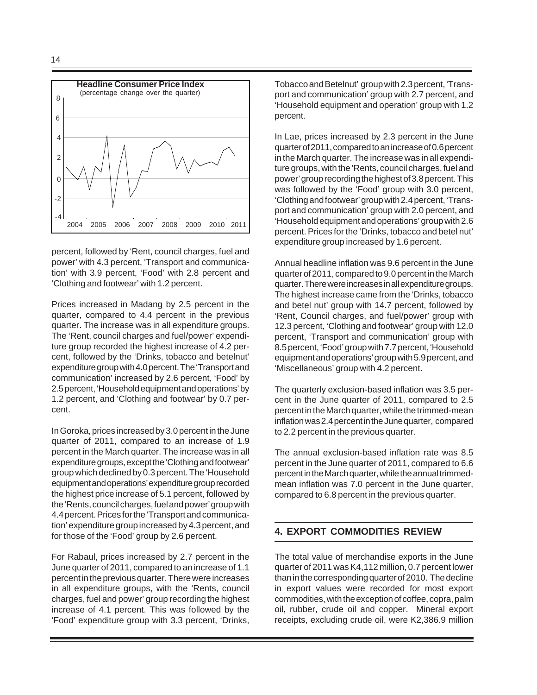

percent, followed by 'Rent, council charges, fuel and power' with 4.3 percent, 'Transport and communication' with 3.9 percent, 'Food' with 2.8 percent and 'Clothing and footwear' with 1.2 percent.

Prices increased in Madang by 2.5 percent in the quarter, compared to 4.4 percent in the previous quarter. The increase was in all expenditure groups. The 'Rent, council charges and fuel/power' expenditure group recorded the highest increase of 4.2 percent, followed by the 'Drinks, tobacco and betelnut' expenditure group with 4.0 percent. The 'Transport and communication' increased by 2.6 percent, 'Food' by 2.5 percent, 'Household equipment and operations' by 1.2 percent, and 'Clothing and footwear' by 0.7 percent.

In Goroka, prices increased by 3.0 percent in the June quarter of 2011, compared to an increase of 1.9 percent in the March quarter. The increase was in all expenditure groups, except the 'Clothing and footwear' group which declined by 0.3 percent. The 'Household equipment and operations' expenditure group recorded the highest price increase of 5.1 percent, followed by the 'Rents, council charges, fuel and power' group with 4.4 percent. Prices for the 'Transport and communication' expenditure group increased by 4.3 percent, and for those of the 'Food' group by 2.6 percent.

For Rabaul, prices increased by 2.7 percent in the June quarter of 2011, compared to an increase of 1.1 percent in the previous quarter. There were increases in all expenditure groups, with the 'Rents, council charges, fuel and power' group recording the highest increase of 4.1 percent. This was followed by the 'Food' expenditure group with 3.3 percent, 'Drinks, Tobacco and Betelnut' group with 2.3 percent, 'Transport and communication' group with 2.7 percent, and 'Household equipment and operation' group with 1.2 percent.

In Lae, prices increased by 2.3 percent in the June quarter of 2011, compared to an increase of 0.6 percent in the March quarter. The increase was in all expenditure groups, with the 'Rents, council charges, fuel and power' group recording the highest of 3.8 percent. This was followed by the 'Food' group with 3.0 percent, 'Clothing and footwear' group with 2.4 percent, 'Transport and communication' group with 2.0 percent, and 'Household equipment and operations' group with 2.6 percent. Prices for the 'Drinks, tobacco and betel nut' expenditure group increased by 1.6 percent.

Annual headline inflation was 9.6 percent in the June quarter of 2011, compared to 9.0 percent in the March quarter. There were increases in all expenditure groups. The highest increase came from the 'Drinks, tobacco and betel nut' group with 14.7 percent, followed by 'Rent, Council charges, and fuel/power' group with 12.3 percent, 'Clothing and footwear' group with 12.0 percent, 'Transport and communication' group with 8.5 percent, 'Food' group with 7.7 percent, 'Household equipment and operations' group with 5.9 percent, and 'Miscellaneous' group with 4.2 percent.

The quarterly exclusion-based inflation was 3.5 percent in the June quarter of 2011, compared to 2.5 percent in the March quarter, while the trimmed-mean inflation was 2.4 percent in the June quarter, compared to 2.2 percent in the previous quarter.

The annual exclusion-based inflation rate was 8.5 percent in the June quarter of 2011, compared to 6.6 percent in the March quarter, while the annual trimmedmean inflation was 7.0 percent in the June quarter, compared to 6.8 percent in the previous quarter.

# **4. EXPORT COMMODITIES REVIEW**

The total value of merchandise exports in the June quarter of 2011 was K4,112 million, 0.7 percent lower than in the corresponding quarter of 2010. The decline in export values were recorded for most export commodities, with the exception of coffee, copra, palm oil, rubber, crude oil and copper. Mineral export receipts, excluding crude oil, were K2,386.9 million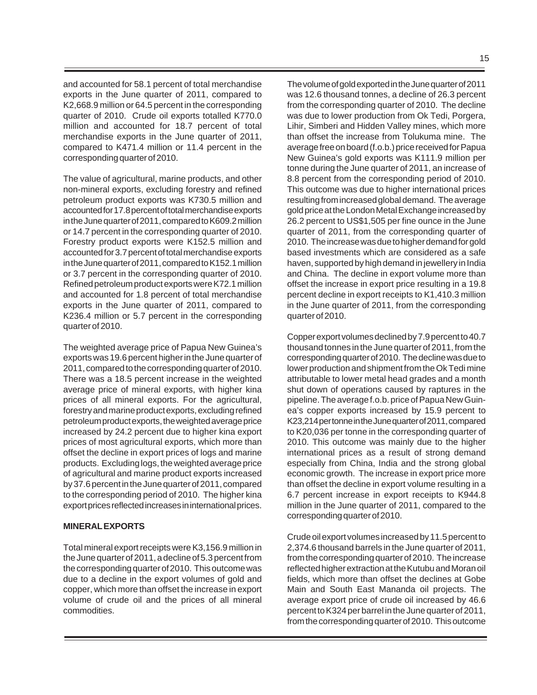and accounted for 58.1 percent of total merchandise exports in the June quarter of 2011, compared to K2,668.9 million or 64.5 percent in the corresponding quarter of 2010. Crude oil exports totalled K770.0 million and accounted for 18.7 percent of total merchandise exports in the June quarter of 2011, compared to K471.4 million or 11.4 percent in the corresponding quarter of 2010.

The value of agricultural, marine products, and other non-mineral exports, excluding forestry and refined petroleum product exports was K730.5 million and accounted for 17.8 percent of total merchandise exports in the June quarter of 2011, compared to K609.2 million or 14.7 percent in the corresponding quarter of 2010. Forestry product exports were K152.5 million and accounted for 3.7 percent of total merchandise exports in the June quarter of 2011, compared to K152.1 million or 3.7 percent in the corresponding quarter of 2010. Refined petroleum product exports were K72.1 million and accounted for 1.8 percent of total merchandise exports in the June quarter of 2011, compared to K236.4 million or 5.7 percent in the corresponding quarter of 2010.

The weighted average price of Papua New Guinea's exports was 19.6 percent higher in the June quarter of 2011, compared to the corresponding quarter of 2010. There was a 18.5 percent increase in the weighted average price of mineral exports, with higher kina prices of all mineral exports. For the agricultural, forestry and marine product exports, excluding refined petroleum product exports, the weighted average price increased by 24.2 percent due to higher kina export prices of most agricultural exports, which more than offset the decline in export prices of logs and marine products. Excluding logs, the weighted average price of agricultural and marine product exports increased by 37.6 percent in the June quarter of 2011, compared to the corresponding period of 2010. The higher kina export prices reflected increases in international prices.

#### **MINERAL EXPORTS**

Total mineral export receipts were K3,156.9 million in the June quarter of 2011, a decline of 5.3 percent from the corresponding quarter of 2010. This outcome was due to a decline in the export volumes of gold and copper, which more than offset the increase in export volume of crude oil and the prices of all mineral commodities.

The volume of gold exported in the June quarter of 2011 was 12.6 thousand tonnes, a decline of 26.3 percent from the corresponding quarter of 2010. The decline was due to lower production from Ok Tedi, Porgera, Lihir, Simberi and Hidden Valley mines, which more than offset the increase from Tolukuma mine. The average free on board (f.o.b.) price received for Papua New Guinea's gold exports was K111.9 million per tonne during the June quarter of 2011, an increase of 8.8 percent from the corresponding period of 2010. This outcome was due to higher international prices resulting from increased global demand. The average gold price at the London Metal Exchange increased by 26.2 percent to US\$1,505 per fine ounce in the June quarter of 2011, from the corresponding quarter of 2010. The increase was due to higher demand for gold based investments which are considered as a safe haven, supported by high demand in jewellery in India and China. The decline in export volume more than offset the increase in export price resulting in a 19.8 percent decline in export receipts to K1,410.3 million in the June quarter of 2011, from the corresponding quarter of 2010.

Copper export volumes declined by 7.9 percent to 40.7 thousand tonnes in the June quarter of 2011, from the corresponding quarter of 2010. The decline was due to lower production and shipment from the Ok Tedi mine attributable to lower metal head grades and a month shut down of operations caused by raptures in the pipeline. The average f.o.b. price of Papua New Guinea's copper exports increased by 15.9 percent to K23,214 per tonne in the June quarter of 2011, compared to K20,036 per tonne in the corresponding quarter of 2010. This outcome was mainly due to the higher international prices as a result of strong demand especially from China, India and the strong global economic growth. The increase in export price more than offset the decline in export volume resulting in a 6.7 percent increase in export receipts to K944.8 million in the June quarter of 2011, compared to the corresponding quarter of 2010.

Crude oil export volumes increased by 11.5 percent to 2,374.6 thousand barrels in the June quarter of 2011, from the corresponding quarter of 2010. The increase reflected higher extraction at the Kutubu and Moran oil fields, which more than offset the declines at Gobe Main and South East Mananda oil projects. The average export price of crude oil increased by 46.6 percent to K324 per barrel in the June quarter of 2011, from the corresponding quarter of 2010. This outcome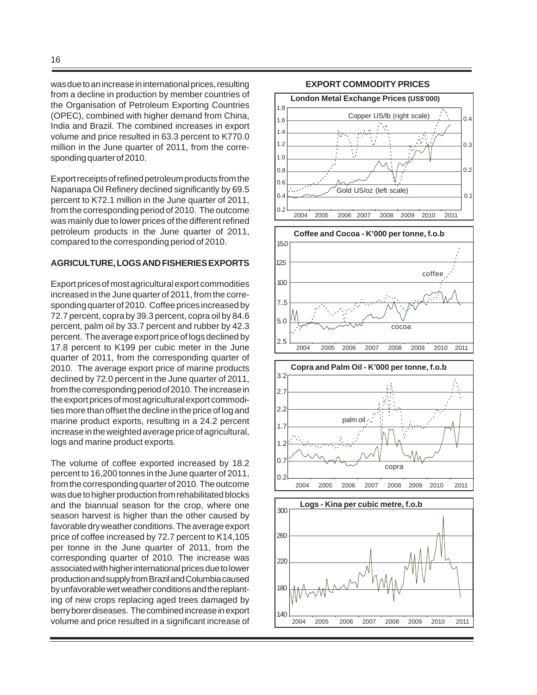was due to an increase in international prices, resulting from a decline in production by member countries of the Organisation of Petroleum Exporting Countries (OPEC), combined with higher demand from China, India and Brazil. The combined increases in export volume and price resulted in 63.3 percent to K770.0 million in the June quarter of 2011, from the corresponding quarter of 2010.

Export receipts of refined petroleum products from the Napanapa Oil Refinery declined significantly by 69.5 percent to K72.1 million in the June quarter of 2011, from the corresponding period of 2010. The outcome was mainly due to lower prices of the different refined petroleum products in the June quarter of 2011, compared to the corresponding period of 2010.

#### **AGRICULTURE, LOGS AND FISHERIES EXPORTS**

Export prices of most agricultural export commodities increased in the June quarter of 2011, from the corresponding quarter of 2010. Coffee prices increased by 72.7 percent, copra by 39.3 percent, copra oil by 84.6 percent, palm oil by 33.7 percent and rubber by 42.3 percent. The average export price of logs declined by 17.8 percent to K199 per cubic meter in the June quarter of 2011, from the corresponding quarter of 2010. The average export price of marine products declined by 72.0 percent in the June quarter of 2011, from the corresponding period of 2010. The increase in the export prices of most agricultural export commodities more than offset the decline in the price of log and marine product exports, resulting in a 24.2 percent increase in the weighted average price of agricultural, logs and marine product exports.

The volume of coffee exported increased by 18.2 percent to 16,200 tonnes in the June quarter of 2011, from the corresponding quarter of 2010. The outcome was due to higher production from rehabilitated blocks and the biannual season for the crop, where one season harvest is higher than the other caused by favorable dry weather conditions. The average export price of coffee increased by 72.7 percent to K14,105 per tonne in the June quarter of 2011, from the corresponding quarter of 2010. The increase was associated with higher international prices due to lower production and supply from Brazil and Columbia caused by unfavorable wet weather conditions and the replanting of new crops replacing aged trees damaged by berry borer diseases. The combined increase in export volume and price resulted in a significant increase of



#### **EXPORT COMMODITY PRICES**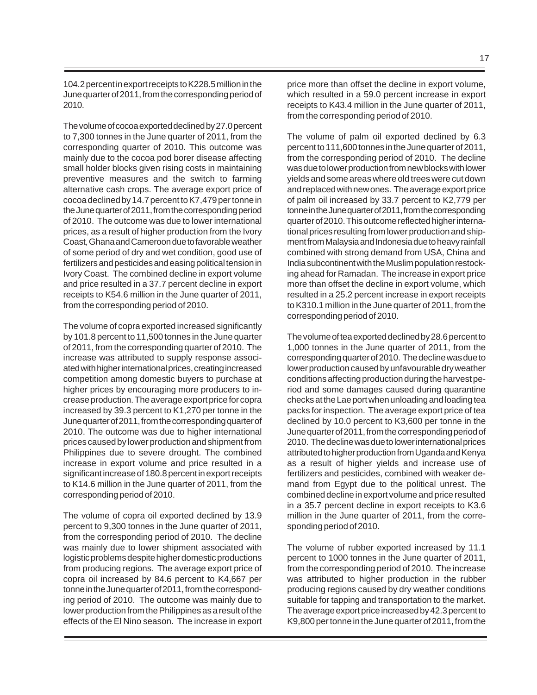104.2 percent in export receipts to K228.5 million in the June quarter of 2011, from the corresponding period of 2010.

The volume of cocoa exported declined by 27.0 percent to 7,300 tonnes in the June quarter of 2011, from the corresponding quarter of 2010. This outcome was mainly due to the cocoa pod borer disease affecting small holder blocks given rising costs in maintaining preventive measures and the switch to farming alternative cash crops. The average export price of cocoa declined by 14.7 percent to K7,479 per tonne in the June quarter of 2011, from the corresponding period of 2010. The outcome was due to lower international prices, as a result of higher production from the Ivory Coast, Ghana and Cameroon due to favorable weather of some period of dry and wet condition, good use of fertilizers and pesticides and easing political tension in Ivory Coast. The combined decline in export volume and price resulted in a 37.7 percent decline in export receipts to K54.6 million in the June quarter of 2011, from the corresponding period of 2010.

The volume of copra exported increased significantly by 101.8 percent to 11,500 tonnes in the June quarter of 2011, from the corresponding quarter of 2010. The increase was attributed to supply response associated with higher international prices, creating increased competition among domestic buyers to purchase at higher prices by encouraging more producers to increase production. The average export price for copra increased by 39.3 percent to K1,270 per tonne in the June quarter of 2011, from the corresponding quarter of 2010. The outcome was due to higher international prices caused by lower production and shipment from Philippines due to severe drought. The combined increase in export volume and price resulted in a significant increase of 180.8 percent in export receipts to K14.6 million in the June quarter of 2011, from the corresponding period of 2010.

The volume of copra oil exported declined by 13.9 percent to 9,300 tonnes in the June quarter of 2011, from the corresponding period of 2010. The decline was mainly due to lower shipment associated with logistic problems despite higher domestic productions from producing regions. The average export price of copra oil increased by 84.6 percent to K4,667 per tonne in the June quarter of 2011, from the corresponding period of 2010. The outcome was mainly due to lower production from the Philippines as a result of the effects of the El Nino season. The increase in export price more than offset the decline in export volume, which resulted in a 59.0 percent increase in export receipts to K43.4 million in the June quarter of 2011, from the corresponding period of 2010.

The volume of palm oil exported declined by 6.3 percent to 111,600 tonnes in the June quarter of 2011, from the corresponding period of 2010. The decline was due to lower production from new blocks with lower yields and some areas where old trees were cut down and replaced with new ones. The average export price of palm oil increased by 33.7 percent to K2,779 per tonne in the June quarter of 2011, from the corresponding quarter of 2010. This outcome reflected higher international prices resulting from lower production and shipment from Malaysia and Indonesia due to heavy rainfall combined with strong demand from USA, China and India subcontinent with the Muslim population restocking ahead for Ramadan. The increase in export price more than offset the decline in export volume, which resulted in a 25.2 percent increase in export receipts to K310.1 million in the June quarter of 2011, from the corresponding period of 2010.

The volume of tea exported declined by 28.6 percent to 1,000 tonnes in the June quarter of 2011, from the corresponding quarter of 2010. The decline was due to lower production caused by unfavourable dry weather conditions affecting production during the harvest period and some damages caused during quarantine checks at the Lae port when unloading and loading tea packs for inspection. The average export price of tea declined by 10.0 percent to K3,600 per tonne in the June quarter of 2011, from the corresponding period of 2010. The decline was due to lower international prices attributed to higher production from Uganda and Kenya as a result of higher yields and increase use of fertilizers and pesticides, combined with weaker demand from Egypt due to the political unrest. The combined decline in export volume and price resulted in a 35.7 percent decline in export receipts to K3.6 million in the June quarter of 2011, from the corresponding period of 2010.

The volume of rubber exported increased by 11.1 percent to 1000 tonnes in the June quarter of 2011, from the corresponding period of 2010. The increase was attributed to higher production in the rubber producing regions caused by dry weather conditions suitable for tapping and transportation to the market. The average export price increased by 42.3 percent to K9,800 per tonne in the June quarter of 2011, from the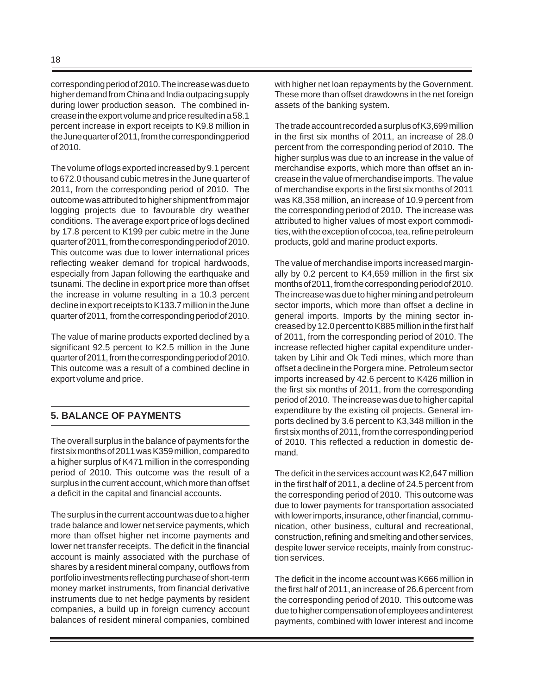corresponding period of 2010. The increase was due to higher demand from China and India outpacing supply during lower production season. The combined increase in the export volume and price resulted in a 58.1 percent increase in export receipts to K9.8 million in the June quarter of 2011, from the corresponding period of 2010.

The volume of logs exported increased by 9.1 percent to 672.0 thousand cubic metres in the June quarter of 2011, from the corresponding period of 2010. The outcome was attributed to higher shipment from major logging projects due to favourable dry weather conditions. The average export price of logs declined by 17.8 percent to K199 per cubic metre in the June quarter of 2011, from the corresponding period of 2010. This outcome was due to lower international prices reflecting weaker demand for tropical hardwoods, especially from Japan following the earthquake and tsunami. The decline in export price more than offset the increase in volume resulting in a 10.3 percent decline in export receipts to K133.7 million in the June quarter of 2011, from the corresponding period of 2010.

The value of marine products exported declined by a significant 92.5 percent to K2.5 million in the June quarter of 2011, from the corresponding period of 2010. This outcome was a result of a combined decline in export volume and price.

# **5. BALANCE OF PAYMENTS**

The overall surplus in the balance of payments for the first six months of 2011 was K359 million, compared to a higher surplus of K471 million in the corresponding period of 2010. This outcome was the result of a surplus in the current account, which more than offset a deficit in the capital and financial accounts.

The surplus in the current account was due to a higher trade balance and lower net service payments, which more than offset higher net income payments and lower net transfer receipts. The deficit in the financial account is mainly associated with the purchase of shares by a resident mineral company, outflows from portfolio investments reflecting purchase of short-term money market instruments, from financial derivative instruments due to net hedge payments by resident companies, a build up in foreign currency account balances of resident mineral companies, combined with higher net loan repayments by the Government. These more than offset drawdowns in the net foreign assets of the banking system.

The trade account recorded a surplus of K3,699 million in the first six months of 2011, an increase of 28.0 percent from the corresponding period of 2010. The higher surplus was due to an increase in the value of merchandise exports, which more than offset an increase in the value of merchandise imports. The value of merchandise exports in the first six months of 2011 was K8,358 million, an increase of 10.9 percent from the corresponding period of 2010. The increase was attributed to higher values of most export commodities, with the exception of cocoa, tea, refine petroleum products, gold and marine product exports.

The value of merchandise imports increased marginally by 0.2 percent to K4,659 million in the first six months of 2011, from the corresponding period of 2010. The increase was due to higher mining and petroleum sector imports, which more than offset a decline in general imports. Imports by the mining sector increased by 12.0 percent to K885 million in the first half of 2011, from the corresponding period of 2010. The increase reflected higher capital expenditure undertaken by Lihir and Ok Tedi mines, which more than offset a decline in the Porgera mine. Petroleum sector imports increased by 42.6 percent to K426 million in the first six months of 2011, from the corresponding period of 2010. The increase was due to higher capital expenditure by the existing oil projects. General imports declined by 3.6 percent to K3,348 million in the first six months of 2011, from the corresponding period of 2010. This reflected a reduction in domestic demand.

The deficit in the services account was K2,647 million in the first half of 2011, a decline of 24.5 percent from the corresponding period of 2010. This outcome was due to lower payments for transportation associated with lower imports, insurance, other financial, communication, other business, cultural and recreational, construction, refining and smelting and other services, despite lower service receipts, mainly from construction services.

The deficit in the income account was K666 million in the first half of 2011, an increase of 26.6 percent from the corresponding period of 2010. This outcome was due to higher compensation of employees and interest payments, combined with lower interest and income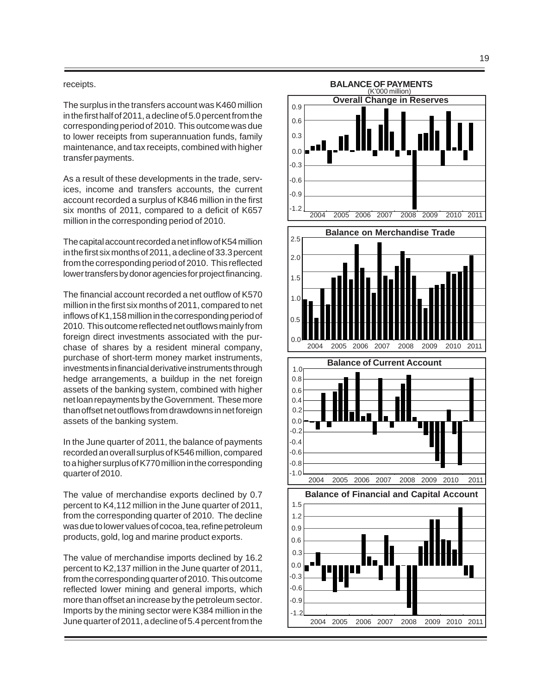#### receipts.

The surplus in the transfers account was K460 million in the first half of 2011, a decline of 5.0 percent from the corresponding period of 2010. This outcome was due to lower receipts from superannuation funds, family maintenance, and tax receipts, combined with higher transfer payments.

As a result of these developments in the trade, services, income and transfers accounts, the current account recorded a surplus of K846 million in the first six months of 2011, compared to a deficit of K657 million in the corresponding period of 2010.

The capital account recorded a net inflow of K54 million in the first six months of 2011, a decline of 33.3 percent from the corresponding period of 2010. This reflected lower transfers by donor agencies for project financing.

The financial account recorded a net outflow of K570 million in the first six months of 2011, compared to net inflows of K1,158 million in the corresponding period of 2010. This outcome reflected net outflows mainly from foreign direct investments associated with the purchase of shares by a resident mineral company, purchase of short-term money market instruments, investments in financial derivative instruments through hedge arrangements, a buildup in the net foreign assets of the banking system, combined with higher net loan repayments by the Government. These more than offset net outflows from drawdowns in net foreign assets of the banking system.

In the June quarter of 2011, the balance of payments recorded an overall surplus of K546 million, compared to a higher surplus of K770 million in the corresponding quarter of 2010.

The value of merchandise exports declined by 0.7 percent to K4,112 million in the June quarter of 2011, from the corresponding quarter of 2010. The decline was due to lower values of cocoa, tea, refine petroleum products, gold, log and marine product exports.

The value of merchandise imports declined by 16.2 percent to K2,137 million in the June quarter of 2011, from the corresponding quarter of 2010. This outcome reflected lower mining and general imports, which more than offset an increase by the petroleum sector. Imports by the mining sector were K384 million in the June quarter of 2011, a decline of 5.4 percent from the

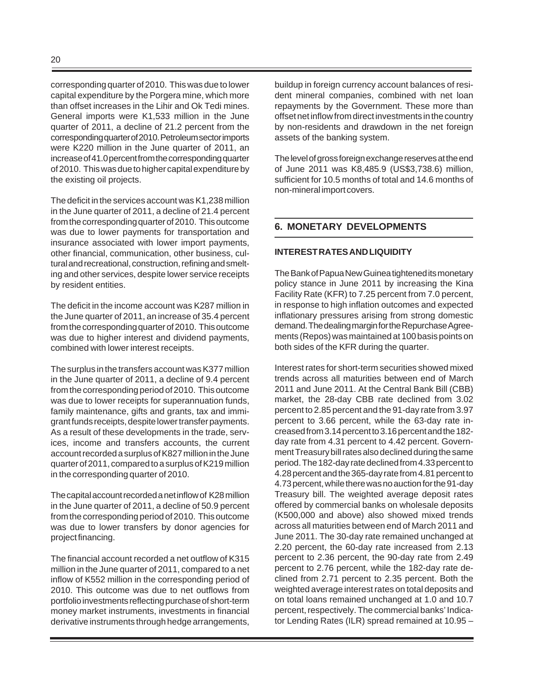corresponding quarter of 2010. This was due to lower capital expenditure by the Porgera mine, which more than offset increases in the Lihir and Ok Tedi mines. General imports were K1,533 million in the June quarter of 2011, a decline of 21.2 percent from the corresponding quarter of 2010. Petroleum sector imports were K220 million in the June quarter of 2011, an increase of 41.0 percent from the corresponding quarter of 2010. This was due to higher capital expenditure by the existing oil projects.

The deficit in the services account was K1,238 million in the June quarter of 2011, a decline of 21.4 percent from the corresponding quarter of 2010. This outcome was due to lower payments for transportation and insurance associated with lower import payments, other financial, communication, other business, cultural and recreational, construction, refining and smelting and other services, despite lower service receipts by resident entities.

The deficit in the income account was K287 million in the June quarter of 2011, an increase of 35.4 percent from the corresponding quarter of 2010. This outcome was due to higher interest and dividend payments, combined with lower interest receipts.

The surplus in the transfers account was K377 million in the June quarter of 2011, a decline of 9.4 percent from the corresponding period of 2010. This outcome was due to lower receipts for superannuation funds, family maintenance, gifts and grants, tax and immigrant funds receipts, despite lower transfer payments. As a result of these developments in the trade, services, income and transfers accounts, the current account recorded a surplus of K827 million in the June quarter of 2011, compared to a surplus of K219 million in the corresponding quarter of 2010.

The capital account recorded a net inflow of K28 million in the June quarter of 2011, a decline of 50.9 percent from the corresponding period of 2010. This outcome was due to lower transfers by donor agencies for project financing.

The financial account recorded a net outflow of K315 million in the June quarter of 2011, compared to a net inflow of K552 million in the corresponding period of 2010. This outcome was due to net outflows from portfolio investments reflecting purchase of short-term money market instruments, investments in financial derivative instruments through hedge arrangements, buildup in foreign currency account balances of resident mineral companies, combined with net loan repayments by the Government. These more than offset net inflow from direct investments in the country by non-residents and drawdown in the net foreign assets of the banking system.

The level of gross foreign exchange reserves at the end of June 2011 was K8,485.9 (US\$3,738.6) million, sufficient for 10.5 months of total and 14.6 months of non-mineral import covers.

## **6. MONETARY DEVELOPMENTS**

#### **INTEREST RATES AND LIQUIDITY**

The Bank of Papua New Guinea tightened its monetary policy stance in June 2011 by increasing the Kina Facility Rate (KFR) to 7.25 percent from 7.0 percent, in response to high inflation outcomes and expected inflationary pressures arising from strong domestic demand. The dealing margin for the Repurchase Agreements (Repos) was maintained at 100 basis points on both sides of the KFR during the quarter.

Interest rates for short-term securities showed mixed trends across all maturities between end of March 2011 and June 2011. At the Central Bank Bill (CBB) market, the 28-day CBB rate declined from 3.02 percent to 2.85 percent and the 91-day rate from 3.97 percent to 3.66 percent, while the 63-day rate increased from 3.14 percent to 3.16 percent and the 182 day rate from 4.31 percent to 4.42 percent. Government Treasury bill rates also declined during the same period. The 182-day rate declined from 4.33 percent to 4.28 percent and the 365-day rate from 4.81 percent to 4.73 percent, while there was no auction for the 91-day Treasury bill. The weighted average deposit rates offered by commercial banks on wholesale deposits (K500,000 and above) also showed mixed trends across all maturities between end of March 2011 and June 2011. The 30-day rate remained unchanged at 2.20 percent, the 60-day rate increased from 2.13 percent to 2.36 percent, the 90-day rate from 2.49 percent to 2.76 percent, while the 182-day rate declined from 2.71 percent to 2.35 percent. Both the weighted average interest rates on total deposits and on total loans remained unchanged at 1.0 and 10.7 percent, respectively. The commercial banks' Indicator Lending Rates (ILR) spread remained at 10.95 –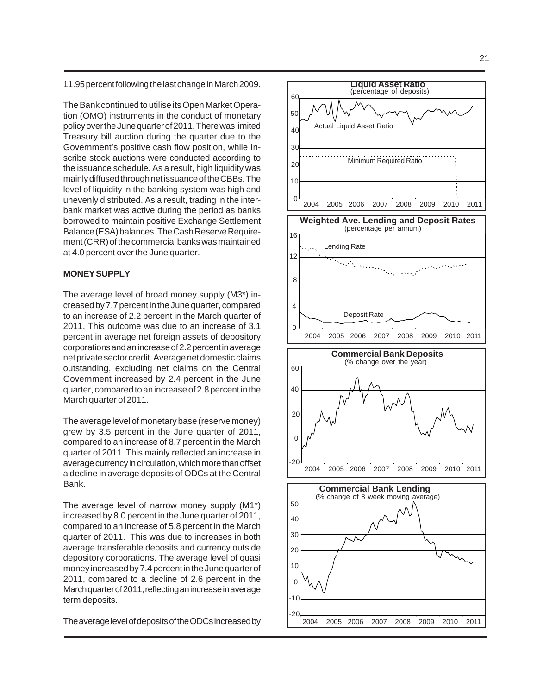11.95 percent following the last change in March 2009.

The Bank continued to utilise its Open Market Operation (OMO) instruments in the conduct of monetary policy over the June quarter of 2011. There was limited Treasury bill auction during the quarter due to the Government's positive cash flow position, while Inscribe stock auctions were conducted according to the issuance schedule. As a result, high liquidity was mainly diffused through net issuance of the CBBs. The level of liquidity in the banking system was high and unevenly distributed. As a result, trading in the interbank market was active during the period as banks borrowed to maintain positive Exchange Settlement Balance (ESA) balances. The Cash Reserve Requirement (CRR) of the commercial banks was maintained at 4.0 percent over the June quarter.

#### **MONEY SUPPLY**

The average level of broad money supply (M3\*) increased by 7.7 percent in the June quarter, compared to an increase of 2.2 percent in the March quarter of 2011. This outcome was due to an increase of 3.1 percent in average net foreign assets of depository corporations and an increase of 2.2 percent in average net private sector credit. Average net domestic claims outstanding, excluding net claims on the Central Government increased by 2.4 percent in the June quarter, compared to an increase of 2.8 percent in the March quarter of 2011.

The average level of monetary base (reserve money) grew by 3.5 percent in the June quarter of 2011, compared to an increase of 8.7 percent in the March quarter of 2011. This mainly reflected an increase in average currency in circulation, which more than offset a decline in average deposits of ODCs at the Central Bank.

The average level of narrow money supply (M1\*) increased by 8.0 percent in the June quarter of 2011, compared to an increase of 5.8 percent in the March quarter of 2011. This was due to increases in both average transferable deposits and currency outside depository corporations. The average level of quasi money increased by 7.4 percent in the June quarter of 2011, compared to a decline of 2.6 percent in the March quarter of 2011, reflecting an increase in average term deposits.

The average level of deposits of the ODCs increased by

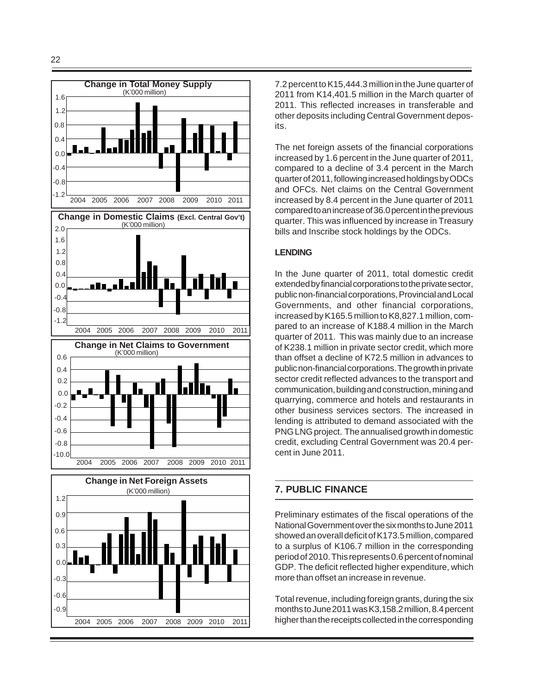

7.2 percent to K15,444.3 million in the June quarter of 2011 from K14,401.5 million in the March quarter of 2011. This reflected increases in transferable and other deposits including Central Government deposits.

The net foreign assets of the financial corporations increased by 1.6 percent in the June quarter of 2011, compared to a decline of 3.4 percent in the March quarter of 2011, following increased holdings by ODCs and OFCs. Net claims on the Central Government increased by 8.4 percent in the June quarter of 2011 compared to an increase of 36.0 percent in the previous quarter. This was influenced by increase in Treasury bills and Inscribe stock holdings by the ODCs.

## **LENDING**

In the June quarter of 2011, total domestic credit extended by financial corporations to the private sector, public non-financial corporations, Provincial and Local Governments, and other financial corporations, increased by K165.5 million to K8,827.1 million, compared to an increase of K188.4 million in the March quarter of 2011. This was mainly due to an increase of K238.1 million in private sector credit, which more than offset a decline of K72.5 million in advances to public non-financial corporations. The growth in private sector credit reflected advances to the transport and communication, building and construction, mining and quarrying, commerce and hotels and restaurants in other business services sectors. The increased in lending is attributed to demand associated with the PNG LNG project. The annualised growth in domestic credit, excluding Central Government was 20.4 percent in June 2011.

# **7. PUBLIC FINANCE**

Preliminary estimates of the fiscal operations of the National Government over the six months to June 2011 showed an overall deficit of K173.5 million, compared to a surplus of K106.7 million in the corresponding period of 2010. This represents 0.6 percent of nominal GDP. The deficit reflected higher expenditure, which more than offset an increase in revenue.

Total revenue, including foreign grants, during the six months to June 2011 was K3,158.2 million, 8.4 percent higher than the receipts collected in the corresponding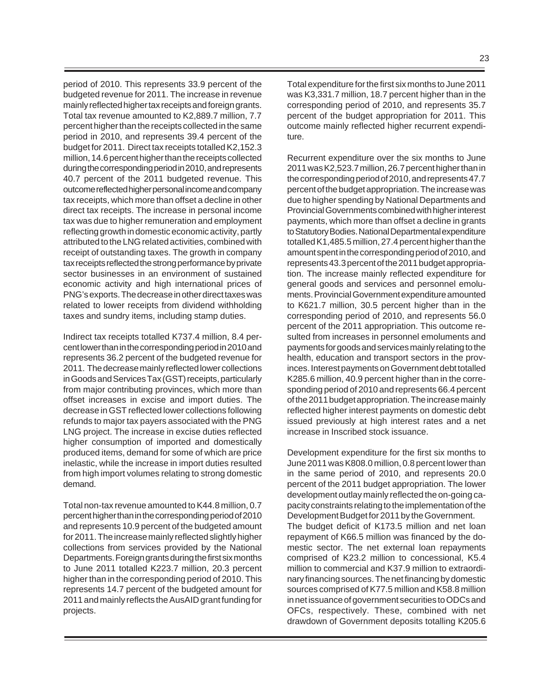period of 2010. This represents 33.9 percent of the budgeted revenue for 2011. The increase in revenue mainly reflected higher tax receipts and foreign grants. Total tax revenue amounted to K2,889.7 million, 7.7 percent higher than the receipts collected in the same period in 2010, and represents 39.4 percent of the budget for 2011. Direct tax receipts totalled K2,152.3 million, 14.6 percent higher than the receipts collected during the corresponding period in 2010, and represents 40.7 percent of the 2011 budgeted revenue. This outcome reflected higher personal income and company tax receipts, which more than offset a decline in other direct tax receipts. The increase in personal income tax was due to higher remuneration and employment reflecting growth in domestic economic activity, partly attributed to the LNG related activities, combined with receipt of outstanding taxes. The growth in company tax receipts reflected the strong performance by private sector businesses in an environment of sustained economic activity and high international prices of PNG's exports. The decrease in other direct taxes was related to lower receipts from dividend withholding taxes and sundry items, including stamp duties.

Indirect tax receipts totalled K737.4 million, 8.4 percent lower than in the corresponding period in 2010 and represents 36.2 percent of the budgeted revenue for 2011. The decrease mainly reflected lower collections in Goods and Services Tax (GST) receipts, particularly from major contributing provinces, which more than offset increases in excise and import duties. The decrease in GST reflected lower collections following refunds to major tax payers associated with the PNG LNG project. The increase in excise duties reflected higher consumption of imported and domestically produced items, demand for some of which are price inelastic, while the increase in import duties resulted from high import volumes relating to strong domestic demand.

Total non-tax revenue amounted to K44.8 million, 0.7 percent higher than in the corresponding period of 2010 and represents 10.9 percent of the budgeted amount for 2011. The increase mainly reflected slightly higher collections from services provided by the National Departments. Foreign grants during the first six months to June 2011 totalled K223.7 million, 20.3 percent higher than in the corresponding period of 2010. This represents 14.7 percent of the budgeted amount for 2011 and mainly reflects the AusAID grant funding for projects.

Total expenditure for the first six months to June 2011 was K3,331.7 million, 18.7 percent higher than in the corresponding period of 2010, and represents 35.7 percent of the budget appropriation for 2011. This outcome mainly reflected higher recurrent expenditure.

Recurrent expenditure over the six months to June 2011 was K2,523.7 million, 26.7 percent higher than in the corresponding period of 2010, and represents 47.7 percent of the budget appropriation. The increase was due to higher spending by National Departments and Provincial Governments combined with higher interest payments, which more than offset a decline in grants to Statutory Bodies. National Departmental expenditure totalled K1,485.5 million, 27.4 percent higher than the amount spent in the corresponding period of 2010, and represents 43.3 percent of the 2011 budget appropriation. The increase mainly reflected expenditure for general goods and services and personnel emoluments. Provincial Government expenditure amounted to K621.7 million, 30.5 percent higher than in the corresponding period of 2010, and represents 56.0 percent of the 2011 appropriation. This outcome resulted from increases in personnel emoluments and payments for goods and services mainly relating to the health, education and transport sectors in the provinces. Interest payments on Government debt totalled K285.6 million, 40.9 percent higher than in the corresponding period of 2010 and represents 66.4 percent of the 2011 budget appropriation. The increase mainly reflected higher interest payments on domestic debt issued previously at high interest rates and a net increase in Inscribed stock issuance.

Development expenditure for the first six months to June 2011 was K808.0 million, 0.8 percent lower than in the same period of 2010, and represents 20.0 percent of the 2011 budget appropriation. The lower development outlay mainly reflected the on-going capacity constraints relating to the implementation of the Development Budget for 2011 by the Government. The budget deficit of K173.5 million and net loan repayment of K66.5 million was financed by the domestic sector. The net external loan repayments comprised of K23.2 million to concessional, K5.4 million to commercial and K37.9 million to extraordinary financing sources. The net financing by domestic sources comprised of K77.5 million and K58.8 million in net issuance of government securities to ODCs and OFCs, respectively. These, combined with net drawdown of Government deposits totalling K205.6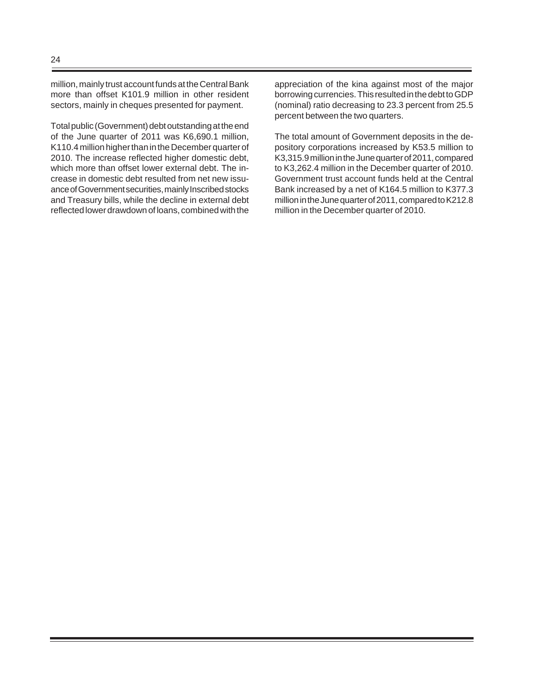million, mainly trust account funds at the Central Bank more than offset K101.9 million in other resident sectors, mainly in cheques presented for payment.

Total public (Government) debt outstanding at the end of the June quarter of 2011 was K6,690.1 million, K110.4 million higher than in the December quarter of 2010. The increase reflected higher domestic debt, which more than offset lower external debt. The increase in domestic debt resulted from net new issuance of Government securities, mainly Inscribed stocks and Treasury bills, while the decline in external debt reflected lower drawdown of loans, combined with the appreciation of the kina against most of the major borrowing currencies. This resulted in the debt to GDP (nominal) ratio decreasing to 23.3 percent from 25.5 percent between the two quarters.

The total amount of Government deposits in the depository corporations increased by K53.5 million to K3,315.9 million in the June quarter of 2011, compared to K3,262.4 million in the December quarter of 2010. Government trust account funds held at the Central Bank increased by a net of K164.5 million to K377.3 million in the June quarter of 2011, compared to K212.8 million in the December quarter of 2010.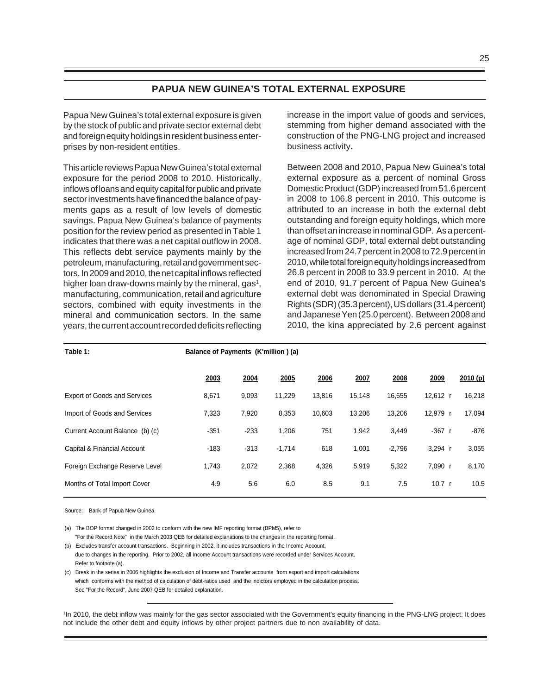#### **PAPUA NEW GUINEA'S TOTAL EXTERNAL EXPOSURE**

Papua New Guinea's total external exposure is given by the stock of public and private sector external debt and foreign equity holdings in resident business enterprises by non-resident entities.

This article reviews Papua New Guinea's total external exposure for the period 2008 to 2010. Historically, inflows of loans and equity capital for public and private sector investments have financed the balance of payments gaps as a result of low levels of domestic savings. Papua New Guinea's balance of payments position for the review period as presented in Table 1 indicates that there was a net capital outflow in 2008. This reflects debt service payments mainly by the petroleum, manufacturing, retail and government sectors. In 2009 and 2010, the net capital inflows reflected higher loan draw-downs mainly by the mineral, gas<sup>1</sup>, manufacturing, communication, retail and agriculture sectors, combined with equity investments in the mineral and communication sectors. In the same years, the current account recorded deficits reflecting

increase in the import value of goods and services, stemming from higher demand associated with the construction of the PNG-LNG project and increased business activity.

Between 2008 and 2010, Papua New Guinea's total external exposure as a percent of nominal Gross Domestic Product (GDP) increased from 51.6 percent in 2008 to 106.8 percent in 2010. This outcome is attributed to an increase in both the external debt outstanding and foreign equity holdings, which more than offset an increase in nominal GDP. As a percentage of nominal GDP, total external debt outstanding increased from 24.7 percent in 2008 to 72.9 percent in 2010, while total foreign equity holdings increased from 26.8 percent in 2008 to 33.9 percent in 2010. At the end of 2010, 91.7 percent of Papua New Guinea's external debt was denominated in Special Drawing Rights (SDR) (35.3 percent), US dollars (31.4 percent) and Japanese Yen (25.0 percent). Between 2008 and 2010, the kina appreciated by 2.6 percent against

| Table 1:                            | Balance of Payments (K'million) (a) |        |          |        |             |          |                   |         |  |  |  |
|-------------------------------------|-------------------------------------|--------|----------|--------|-------------|----------|-------------------|---------|--|--|--|
|                                     | 2003                                | 2004   | 2005     | 2006   | <b>2007</b> | 2008     | 2009              | 2010(p) |  |  |  |
| <b>Export of Goods and Services</b> | 8,671                               | 9,093  | 11,229   | 13,816 | 15,148      | 16,655   | 12,612 r          | 16,218  |  |  |  |
| Import of Goods and Services        | 7,323                               | 7,920  | 8,353    | 10,603 | 13,206      | 13,206   | 12,979 r          | 17,094  |  |  |  |
| Current Account Balance (b) (c)     | $-351$                              | $-233$ | 1,206    | 751    | 1,942       | 3,449    | $-367 r$          | -876    |  |  |  |
| Capital & Financial Account         | $-183$                              | $-313$ | $-1,714$ | 618    | 1,001       | $-2,796$ | $3.294$ r         | 3,055   |  |  |  |
| Foreign Exchange Reserve Level      | 1,743                               | 2,072  | 2,368    | 4,326  | 5,919       | 5,322    | 7,090 r           | 8,170   |  |  |  |
| Months of Total Import Cover        | 4.9                                 | 5.6    | 6.0      | 8.5    | 9.1         | 7.5      | 10.7 <sub>r</sub> | 10.5    |  |  |  |

Source: Bank of Papua New Guinea.

(a) The BOP format changed in 2002 to conform with the new IMF reporting format (BPM5), refer to "For the Record Note" in the March 2003 QEB for detailed explanations to the changes in the reporting format.

(b) Excludes transfer account transactions. Beginning in 2002, it includes transactions in the Income Account, due to changes in the reporting. Prior to 2002, all Income Account transactions were recorded under Services Account. Refer to footnote (a).

(c) Break in the series in 2006 highlights the exclusion of Income and Transfer accounts from export and import calculations which conforms with the method of calculation of debt-ratios used and the indictors employed in the calculation process. See "For the Record", June 2007 QEB for detailed explanation.

1 In 2010, the debt inflow was mainly for the gas sector associated with the Government's equity financing in the PNG-LNG project. It does not include the other debt and equity inflows by other project partners due to non availability of data.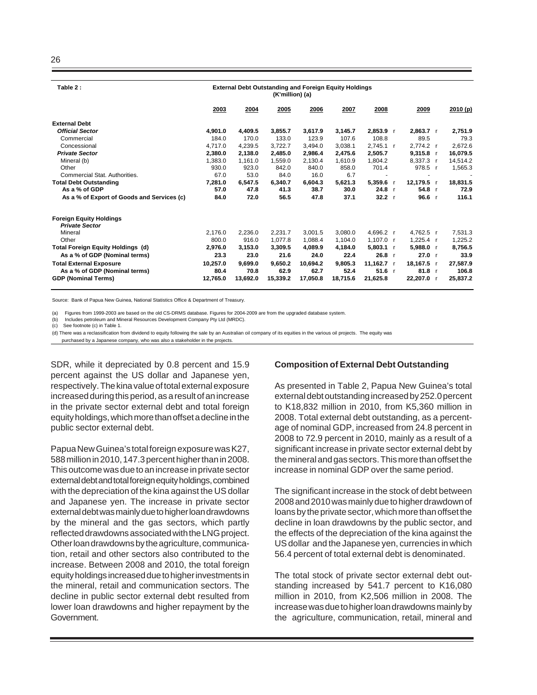| Table 2:                                                | <b>External Debt Outstanding and Foreign Equity Holdings</b><br>(K'million) (a) |          |          |          |          |                |     |             |  |          |
|---------------------------------------------------------|---------------------------------------------------------------------------------|----------|----------|----------|----------|----------------|-----|-------------|--|----------|
|                                                         | 2003                                                                            | 2004     | 2005     | 2006     | 2007     | 2008           |     | 2009        |  | 2010(p)  |
| <b>External Debt</b>                                    |                                                                                 |          |          |          |          |                |     |             |  |          |
| <b>Official Sector</b>                                  | 4,901.0                                                                         | 4,409.5  | 3,855.7  | 3,617.9  | 3,145.7  | 2,853.9 r      |     | 2,863.7 r   |  | 2,751.9  |
| Commercial                                              | 184.0                                                                           | 170.0    | 133.0    | 123.9    | 107.6    | 108.8          |     | 89.5        |  | 79.3     |
| Concessional                                            | 4.717.0                                                                         | 4.239.5  | 3,722.7  | 3,494.0  | 3,038.1  | 2,745.1 r      |     | 2,774.2 r   |  | 2,672.6  |
| <b>Private Sector</b>                                   | 2.380.0                                                                         | 2,138.0  | 2.485.0  | 2.986.4  | 2.475.6  | 2.505.7        |     | $9.315.8$ r |  | 16,079.5 |
| Mineral (b)                                             | 1,383.0                                                                         | 1,161.0  | 1,559.0  | 2,130.4  | 1,610.9  | 1,804.2        |     | 8,337.3 r   |  | 14,514.2 |
| Other                                                   | 930.0                                                                           | 923.0    | 842.0    | 840.0    | 858.0    | 701.4          |     | 978.5 r     |  | 1,565.3  |
| Commercial Stat. Authorities.                           | 67.0                                                                            | 53.0     | 84.0     | 16.0     | 6.7      | $\overline{a}$ |     | ٠           |  |          |
| <b>Total Debt Outstanding</b>                           | 7,281.0                                                                         | 6,547.5  | 6,340.7  | 6,604.3  | 5,621.3  | 5,359.6        | - r | 12,179.5 r  |  | 18,831.5 |
| As a % of GDP                                           | 57.0                                                                            | 47.8     | 41.3     | 38.7     | 30.0     | 24.8 r         |     | $54.8$ r    |  | 72.9     |
| As a % of Export of Goods and Services (c)              | 84.0                                                                            | 72.0     | 56.5     | 47.8     | 37.1     | 32.2 r         |     | 96.6 $r$    |  | 116.1    |
| <b>Foreign Equity Holdings</b><br><b>Private Sector</b> |                                                                                 |          |          |          |          |                |     |             |  |          |
| Mineral                                                 | 2.176.0                                                                         | 2,236.0  | 2.231.7  | 3.001.5  | 3.080.0  | 4.696.2 r      |     | 4.762.5 r   |  | 7,531.3  |
| Other                                                   | 800.0                                                                           | 916.0    | 1.077.8  | 1.088.4  | 1.104.0  | 1,107.0 r      |     | $1,225.4$ r |  | 1,225.2  |
| <b>Total Foreign Equity Holdings (d)</b>                | 2,976.0                                                                         | 3,153.0  | 3,309.5  | 4.089.9  | 4,184.0  | $5,803.1$ r    |     | 5,988.0 r   |  | 8,756.5  |
| As a % of GDP (Nominal terms)                           | 23.3                                                                            | 23.0     | 21.6     | 24.0     | 22.4     | 26.8 r         |     | 27.0 r      |  | 33.9     |
| <b>Total External Exposure</b>                          | 10,257.0                                                                        | 9,699.0  | 9,650.2  | 10.694.2 | 9.805.3  | 11,162.7 r     |     | 18,167.5 r  |  | 27,587.9 |
|                                                         |                                                                                 |          |          |          |          |                |     |             |  |          |
| As a % of GDP (Nominal terms)                           | 80.4                                                                            | 70.8     | 62.9     | 62.7     | 52.4     | $51.6$ r       |     | 81.8 r      |  | 106.8    |
| <b>GDP (Nominal Terms)</b>                              | 12,765.0                                                                        | 13,692.0 | 15,339.2 | 17,050.8 | 18,715.6 | 21,625.8       |     | 22,207.0    |  | 25,837.2 |

Source: Bank of Papua New Guinea, National Statistics Office & Department of Treasury.

(a) Figures from 1999-2003 are based on the old CS-DRMS database. Figures for 2004-2009 are from the upgraded database system.

(b) Includes petroleum and Mineral Resources Development Company Pty Ltd (MRDC).

(c) See footnote (c) in Table 1.

(d) There was a reclassification from dividend to equity following the sale by an Australian oil company of its equities in the various oil projects. The equity was

purchased by a Japanese company, who was also a stakeholder in the projects.

SDR, while it depreciated by 0.8 percent and 15.9 percent against the US dollar and Japanese yen, respectively. The kina value of total external exposure increased during this period, as a result of an increase in the private sector external debt and total foreign equity holdings, which more than offset a decline in the public sector external debt.

Papua New Guinea's total foreign exposure was K27, 588 million in 2010, 147.3 percent higher than in 2008. This outcome was due to an increase in private sector external debt and total foreign equity holdings, combined with the depreciation of the kina against the US dollar and Japanese yen. The increase in private sector external debt was mainly due to higher loan drawdowns by the mineral and the gas sectors, which partly reflected drawdowns associated with the LNG project. Other loan drawdowns by the agriculture, communication, retail and other sectors also contributed to the increase. Between 2008 and 2010, the total foreign equity holdings increased due to higher investments in the mineral, retail and communication sectors. The decline in public sector external debt resulted from lower loan drawdowns and higher repayment by the Government.

#### **Composition of External Debt Outstanding**

As presented in Table 2, Papua New Guinea's total external debt outstanding increased by 252.0 percent to K18,832 million in 2010, from K5,360 million in 2008. Total external debt outstanding, as a percentage of nominal GDP, increased from 24.8 percent in 2008 to 72.9 percent in 2010, mainly as a result of a significant increase in private sector external debt by the mineral and gas sectors. This more than offset the increase in nominal GDP over the same period.

The significant increase in the stock of debt between 2008 and 2010 was mainly due to higher drawdown of loans by the private sector, which more than offset the decline in loan drawdowns by the public sector, and the effects of the depreciation of the kina against the US dollar and the Japanese yen, currencies in which 56.4 percent of total external debt is denominated.

The total stock of private sector external debt outstanding increased by 541.7 percent to K16,080 million in 2010, from K2,506 million in 2008. The increase was due to higher loan drawdowns mainly by the agriculture, communication, retail, mineral and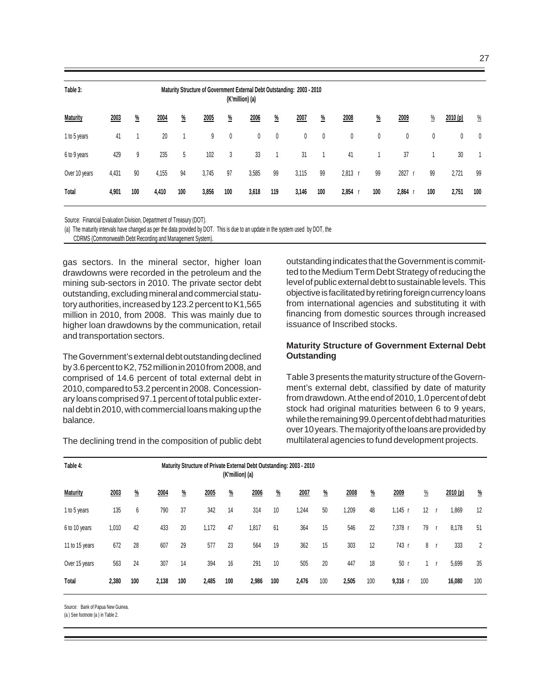| ٠  |  |
|----|--|
| ۰. |  |

| Table 3:        | Maturity Structure of Government External Debt Outstanding: 2003 - 2010<br>(K'million) (a) |               |       |               |       |               |       |               |       |               |           |               |       |      |         |                |
|-----------------|--------------------------------------------------------------------------------------------|---------------|-------|---------------|-------|---------------|-------|---------------|-------|---------------|-----------|---------------|-------|------|---------|----------------|
| <b>Maturity</b> | 2003                                                                                       | $\frac{0}{2}$ | 2004  | $\frac{0}{2}$ | 2005  | $\frac{0}{2}$ | 2006  | $\frac{0}{2}$ | 2007  | $\frac{9}{6}$ | 2008      | $\frac{0}{2}$ | 2009  | $\%$ | 2010(p) | $\frac{0}{2}$  |
| 1 to 5 years    | 41                                                                                         |               | 20    |               | 9     | 0             | 0     | 0             | 0     | 0             | 0         | 0             | 0     | 0    | 0       | 0              |
| 6 to 9 years    | 429                                                                                        | 9             | 235   | 5             | 102   | 3             | 33    |               | 31    | 1             | 41        |               | 37    |      | 30      | $\overline{ }$ |
| Over 10 years   | 4,431                                                                                      | 90            | 4,155 | 94            | 3,745 | 97            | 3,585 | 99            | 3,115 | 99            | $2,813$ r | 99            | 2827  | 99   | 2,721   | 99             |
| Total           | 4,901                                                                                      | 100           | 4,410 | 100           | 3,856 | 100           | 3,618 | 119           | 3,146 | 100           | 2,854     | 100           | 2,864 | 100  | 2,751   | 100            |

Source: Financial Evaluation Division, Department of Treasury (DOT).

(a) The maturity intervals have changed as per the data provided by DOT. This is due to an update in the system used by DOT, the

CDRMS (Commonwealth Debt Recording and Management System).

gas sectors. In the mineral sector, higher loan drawdowns were recorded in the petroleum and the mining sub-sectors in 2010. The private sector debt outstanding, excluding mineral and commercial statutory authorities, increased by 123.2 percent to K1,565 million in 2010, from 2008. This was mainly due to higher loan drawdowns by the communication, retail and transportation sectors.

The Government's external debt outstanding declined by 3.6 percent to K2, 752 million in 2010 from 2008, and comprised of 14.6 percent of total external debt in 2010, compared to 53.2 percent in 2008. Concessionary loans comprised 97.1 percent of total public external debt in 2010, with commercial loans making up the balance.

The declining trend in the composition of public debt

outstanding indicates that the Government is committed to the Medium Term Debt Strategy of reducing the level of public external debt to sustainable levels. This objective is facilitated by retiring foreign currency loans from international agencies and substituting it with financing from domestic sources through increased issuance of Inscribed stocks.

#### **Maturity Structure of Government External Debt Outstanding**

Table 3 presents the maturity structure of the Government's external debt, classified by date of maturity from drawdown. At the end of 2010, 1.0 percent of debt stock had original maturities between 6 to 9 years, while the remaining 99.0 percent of debt had maturities over 10 years. The majority of the loans are provided by multilateral agencies to fund development projects.

| Table 4:        | Maturity Structure of Private External Debt Outstanding: 2003 - 2010<br>(K'million) (a) |                 |       |               |       |          |       |               |       |               |       |               |           |               |          |               |
|-----------------|-----------------------------------------------------------------------------------------|-----------------|-------|---------------|-------|----------|-------|---------------|-------|---------------|-------|---------------|-----------|---------------|----------|---------------|
| <b>Maturity</b> | 2003                                                                                    | $\frac{\%}{\%}$ | 2004  | $\frac{9}{6}$ | 2005  | <u>%</u> | 2006  | $\frac{9}{6}$ | 2007  | $\frac{9}{6}$ | 2008  | $\frac{9}{6}$ | 2009      | $\frac{0}{2}$ | 2010 (p) | $\frac{0}{2}$ |
| 1 to 5 years    | 135                                                                                     | 6               | 790   | 37            | 342   | 14       | 314   | 10            | 1,244 | 50            | 1,209 | 48            | 1,145     | 12            | 1,869    | 12            |
| 6 to 10 years   | 1,010                                                                                   | 42              | 433   | 20            | 1,172 | 47       | 1,817 | 61            | 364   | 15            | 546   | 22            | 7,378 r   | 79            | 8,178    | 51            |
| 11 to 15 years  | 672                                                                                     | 28              | 607   | 29            | 577   | 23       | 564   | 19            | 362   | 15            | 303   | 12            | 743       | 8             | 333      | 2             |
| Over 15 years   | 563                                                                                     | 24              | 307   | 14            | 394   | 16       | 291   | 10            | 505   | 20            | 447   | 18            | 50        |               | 5,699    | 35            |
| Total           | 2,380                                                                                   | 100             | 2,138 | 100           | 2,485 | 100      | 2,986 | 100           | 2,476 | 100           | 2,505 | 100           | $9,316$ r | 100           | 16,080   | 100           |

Source: Bank of Papua New Guinea.

(a ) See footnote (a ) in Table 2.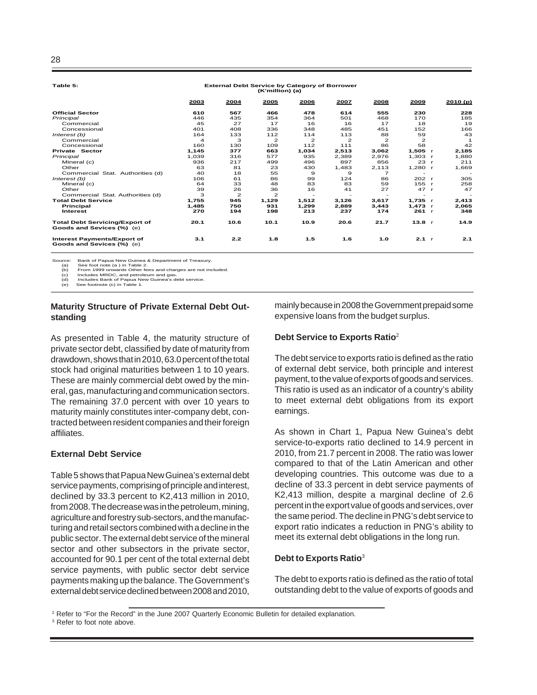| Table 5:                                                           |                         | <b>External Debt Service by Category of Borrower</b> |                |                          |                |                          |                          |              |         |
|--------------------------------------------------------------------|-------------------------|------------------------------------------------------|----------------|--------------------------|----------------|--------------------------|--------------------------|--------------|---------|
|                                                                    | 2003                    | 2004                                                 | 2005           | 2006                     | 2007           | 2008                     | 2009                     |              | 2010(p) |
| <b>Official Sector</b>                                             | 610                     | 567                                                  | 466            | 478                      | 614            | 555                      | 230                      |              | 228     |
| Principal                                                          | 446                     | 435                                                  | 354            | 364                      | 501            | 468                      | 170                      |              | 185     |
| Commercial                                                         | 45                      | 27                                                   | 17             | 16                       | 16             | 17                       | 18                       |              | 19      |
| Concessional                                                       | 401                     | 408                                                  | 336            | 348                      | 485            | 451                      | 152                      |              | 166     |
| Interest (b)                                                       | 164                     | 133                                                  | 112            | 114                      | 113            | 88                       | 59                       |              | 43      |
| Commercial                                                         | $\overline{\mathbf{A}}$ | 3                                                    | $\overline{2}$ | $\overline{2}$           | $\overline{2}$ | $\overline{2}$           | $\overline{2}$           |              |         |
| Concessional                                                       | 160                     | 130                                                  | 109            | 112                      | 111            | 86                       | 58                       |              | 42      |
| <b>Private Sector</b>                                              | 1.145                   | 377                                                  | 663            | 1,034                    | 2.513          | 3.062                    | 1,505 r                  |              | 2,185   |
| Principal                                                          | 1.039                   | 316                                                  | 577            | 935                      | 2.389          | 2.976                    | $1.303$ r                |              | 1,880   |
| Mineral (c)                                                        | 936                     | 217                                                  | 499            | 496                      | 897            | 856                      | 23                       | $\mathbf{r}$ | 211     |
| Other                                                              | 63                      | 81                                                   | 23             | 430                      | 1,483          | 2,113                    | 1,280 r                  |              | 1,669   |
| Commercial Stat. Authorities (d)                                   | 40                      | 18                                                   | 55             | 9                        | 9              | $\overline{7}$           |                          |              |         |
| Interest (b)                                                       | 106                     | 61                                                   | 86             | 99                       | 124            | 86                       | 202 r                    |              | 305     |
| Mineral (c)                                                        | 64                      | 33                                                   | 48             | 83                       | 83             | 59                       | $155$ r                  |              | 258     |
| Other                                                              | 39                      | 26                                                   | 36             | 16                       | 41             | 27                       | 47 r                     |              | 47      |
| Commercial Stat. Authorities (d)                                   | 3                       | $\overline{2}$                                       | $\mathbf{Z}$   | $\overline{\phantom{a}}$ |                | $\overline{\phantom{a}}$ | $\overline{\phantom{a}}$ |              |         |
| <b>Total Debt Service</b>                                          | 1,755                   | 945                                                  | 1,129          | 1,512                    | 3,126          | 3,617                    | 1,735 r                  |              | 2,413   |
| Principal                                                          | 1.485                   | 750                                                  | 931            | 1,299                    | 2.889          | 3,443                    | 1,473 r                  |              | 2,065   |
| <b>Interest</b>                                                    | 270                     | 194                                                  | 198            | 213                      | 237            | 174                      | 261 r                    |              | 348     |
| <b>Total Debt Servicing/Export of</b><br>Goods and Sevices (%) (e) | 20.1                    | 10.6                                                 | 10.1           | 10.9                     | 20.6           | 21.7                     | 13.8 r                   |              | 14.9    |
| Interest Payments/Export of<br>Goods and Sevices (%) (e)           | 3.1                     | 2.2                                                  | 1.8            | 1.5                      | 1.6            | 1.0                      | 2.1 r                    |              | 2.1     |

Source: Bank of Papua New Guinea & Department of Treasury<br>(a) See foot note (a ) in Table 2.<br>(b) From 1999 onwards Other fees and charges are not in (a) See foot note (a ) in Table 2. (b) From 1999 onwards Other fees and charges are not included.

 (c) Includes MRDC, and petroleum and gas. (d) Includes Bank of Papua New Guinea's debt service. (c) Includes MRDC, and petrol<br>
(d) Includes Bank of Papua Ne<br>
(e) See footnote (c) in Table 1.

#### **Maturity Structure of Private External Debt Outstanding**

As presented in Table 4, the maturity structure of private sector debt, classified by date of maturity from drawdown, shows that in 2010, 63.0 percent of the total stock had original maturities between 1 to 10 years. These are mainly commercial debt owed by the mineral, gas, manufacturing and communication sectors. The remaining 37.0 percent with over 10 years to maturity mainly constitutes inter-company debt, contracted between resident companies and their foreign affiliates.

#### **External Debt Service**

Table 5 shows that Papua New Guinea's external debt service payments, comprising of principle and interest, declined by 33.3 percent to K2,413 million in 2010, from 2008. The decrease was in the petroleum, mining, agriculture and forestry sub-sectors, and the manufacturing and retail sectors combined with a decline in the public sector. The external debt service of the mineral sector and other subsectors in the private sector, accounted for 90.1 per cent of the total external debt service payments, with public sector debt service payments making up the balance. The Government's external debt service declined between 2008 and 2010, mainly because in 2008 the Government prepaid some expensive loans from the budget surplus.

#### **Debt Service to Exports Ratio**<sup>2</sup>

The debt service to exports ratio is defined as the ratio of external debt service, both principle and interest payment, to the value of exports of goods and services. This ratio is used as an indicator of a country's ability to meet external debt obligations from its export earnings.

As shown in Chart 1, Papua New Guinea's debt service-to-exports ratio declined to 14.9 percent in 2010, from 21.7 percent in 2008. The ratio was lower compared to that of the Latin American and other developing countries. This outcome was due to a decline of 33.3 percent in debt service payments of K2,413 million, despite a marginal decline of 2.6 percent in the export value of goods and services, over the same period. The decline in PNG's debt service to export ratio indicates a reduction in PNG's ability to meet its external debt obligations in the long run.

#### **Debt to Exports Ratio**<sup>3</sup>

The debt to exports ratio is defined as the ratio of total outstanding debt to the value of exports of goods and

3 Refer to foot note above.

<sup>&</sup>lt;sup>2</sup> Refer to "For the Record" in the June 2007 Quarterly Economic Bulletin for detailed explanation.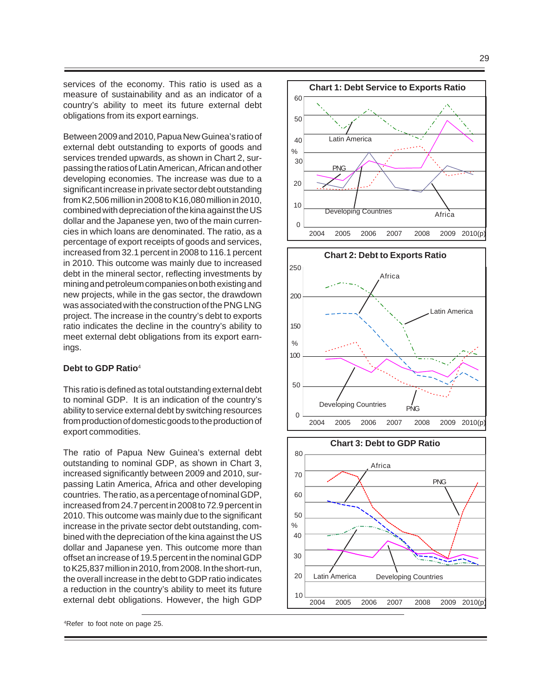services of the economy. This ratio is used as a measure of sustainability and as an indicator of a country's ability to meet its future external debt obligations from its export earnings.

Between 2009 and 2010, Papua New Guinea's ratio of external debt outstanding to exports of goods and services trended upwards, as shown in Chart 2, surpassing the ratios of Latin American, African and other developing economies. The increase was due to a significant increase in private sector debt outstanding from K2,506 million in 2008 to K16,080 million in 2010, combined with depreciation of the kina against the US dollar and the Japanese yen, two of the main currencies in which loans are denominated. The ratio, as a percentage of export receipts of goods and services, increased from 32.1 percent in 2008 to 116.1 percent in 2010. This outcome was mainly due to increased debt in the mineral sector, reflecting investments by mining and petroleum companies on both existing and new projects, while in the gas sector, the drawdown was associated with the construction of the PNG LNG project. The increase in the country's debt to exports ratio indicates the decline in the country's ability to meet external debt obligations from its export earnings.

#### **Debt to GDP Ratio**<sup>4</sup>

This ratio is defined as total outstanding external debt to nominal GDP. It is an indication of the country's ability to service external debt by switching resources from production of domestic goods to the production of export commodities.

The ratio of Papua New Guinea's external debt outstanding to nominal GDP, as shown in Chart 3, increased significantly between 2009 and 2010, surpassing Latin America, Africa and other developing countries. The ratio, as a percentage of nominal GDP, increased from 24.7 percent in 2008 to 72.9 percent in 2010. This outcome was mainly due to the significant increase in the private sector debt outstanding, combined with the depreciation of the kina against the US dollar and Japanese yen. This outcome more than offset an increase of 19.5 percent in the nominal GDP to K25,837 million in 2010, from 2008. In the short-run, the overall increase in the debt to GDP ratio indicates a reduction in the country's ability to meet its future external debt obligations. However, the high GDP







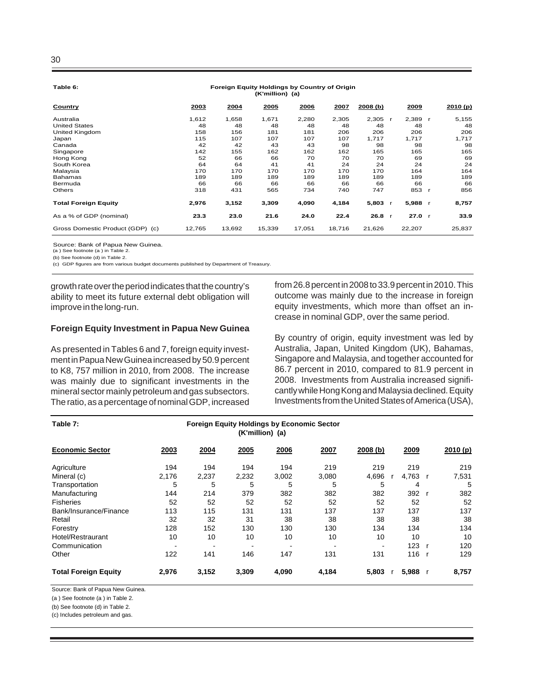**Table 6:**

#### **Foreign Equity Holdings by Country of Origin (K'million) (a)**

| Country                          | 2003   | 2004   | 2005   | 2006   | 2007   | 2008(b) |              | 2009   | 2010(p) |
|----------------------------------|--------|--------|--------|--------|--------|---------|--------------|--------|---------|
| Australia                        | 1,612  | 1,658  | 1,671  | 2,280  | 2,305  | 2,305   |              | 2,389  | 5,155   |
| <b>United States</b>             | 48     | 48     | 48     | 48     | 48     | 48      |              | 48     | 48      |
| United Kingdom                   | 158    | 156    | 181    | 181    | 206    | 206     |              | 206    | 206     |
| Japan                            | 115    | 107    | 107    | 107    | 107    | 1,717   |              | 1,717  | 1,717   |
| Canada                           | 42     | 42     | 43     | 43     | 98     | 98      |              | 98     | 98      |
| Singapore                        | 142    | 155    | 162    | 162    | 162    | 165     |              | 165    | 165     |
| Hong Kong                        | 52     | 66     | 66     | 70     | 70     | 70      |              | 69     | 69      |
| South Korea                      | 64     | 64     | 41     | 41     | 24     | 24      |              | 24     | 24      |
| Malaysia                         | 170    | 170    | 170    | 170    | 170    | 170     |              | 164    | 164     |
| <b>Bahamas</b>                   | 189    | 189    | 189    | 189    | 189    | 189     |              | 189    | 189     |
| Bermuda                          | 66     | 66     | 66     | 66     | 66     | 66      |              | 66     | 66      |
| <b>Others</b>                    | 318    | 431    | 565    | 734    | 740    | 747     |              | 853    | 856     |
| <b>Total Foreign Equity</b>      | 2,976  | 3,152  | 3,309  | 4,090  | 4,184  | 5,803   |              | 5,988  | 8,757   |
| As a % of GDP (nominal)          | 23.3   | 23.0   | 21.6   | 24.0   | 22.4   | 26.8    | $\mathbf{r}$ | 27.0 r | 33.9    |
| Gross Domestic Product (GDP) (c) | 12,765 | 13,692 | 15,339 | 17,051 | 18.716 | 21,626  |              | 22,207 | 25,837  |

Source: Bank of Papua New Guinea.

(a ) See footnote (a ) in Table 2.

(b) See footnote (d) in Table 2.

(c) GDP figures are from various budget documents published by Department of Treasury.

growth rate over the period indicates that the country's ability to meet its future external debt obligation will improve in the long-run.

#### **Foreign Equity Investment in Papua New Guinea**

As presented in Tables 6 and 7, foreign equity investment in Papua New Guinea increased by 50.9 percent to K8, 757 million in 2010, from 2008. The increase was mainly due to significant investments in the mineral sector mainly petroleum and gas subsectors. The ratio, as a percentage of nominal GDP, increased from 26.8 percent in 2008 to 33.9 percent in 2010. This outcome was mainly due to the increase in foreign equity investments, which more than offset an increase in nominal GDP, over the same period.

By country of origin, equity investment was led by Australia, Japan, United Kingdom (UK), Bahamas, Singapore and Malaysia, and together accounted for 86.7 percent in 2010, compared to 81.9 percent in 2008. Investments from Australia increased significantly while Hong Kong and Malaysia declined. Equity Investments from the United States of America (USA),

| Table 7:                    |       |       | (K'million) (a) | <b>Foreign Equity Holdings by Economic Sector</b> |                          |          |         |         |
|-----------------------------|-------|-------|-----------------|---------------------------------------------------|--------------------------|----------|---------|---------|
| <b>Economic Sector</b>      | 2003  | 2004  | 2005            | 2006                                              | 2007                     | 2008 (b) | 2009    | 2010(p) |
| Agriculture                 | 194   | 194   | 194             | 194                                               | 219                      | 219      | 219     | 219     |
| Mineral (c)                 | 2,176 | 2,237 | 2,232           | 3,002                                             | 3,080                    | 4,696    | 4,763 r | 7,531   |
| Transportation              | 5     | 5     | 5               | 5                                                 | 5                        | 5        | 4       | 5       |
| Manufacturing               | 144   | 214   | 379             | 382                                               | 382                      | 382      | 392     | 382     |
| <b>Fisheries</b>            | 52    | 52    | 52              | 52                                                | 52                       | 52       | 52      | 52      |
| Bank/Insurance/Finance      | 113   | 115   | 131             | 131                                               | 137                      | 137      | 137     | 137     |
| Retail                      | 32    | 32    | 31              | 38                                                | 38                       | 38       | 38      | 38      |
| Forestry                    | 128   | 152   | 130             | 130                                               | 130                      | 134      | 134     | 134     |
| Hotel/Restraurant           | 10    | 10    | 10              | 10                                                | 10                       | 10       | 10      | 10      |
| Communication               |       |       |                 | $\overline{\phantom{a}}$                          | $\overline{\phantom{a}}$ |          | 123     | 120     |
| Other                       | 122   | 141   | 146             | 147                                               | 131                      | 131      | 116     | 129     |
| <b>Total Foreign Equity</b> | 2,976 | 3,152 | 3,309           | 4,090                                             | 4,184                    | 5,803    | 5,988 r | 8,757   |

Source: Bank of Papua New Guinea.

(a ) See footnote (a ) in Table 2.

(b) See footnote (d) in Table 2.

(c) Includes petroleum and gas.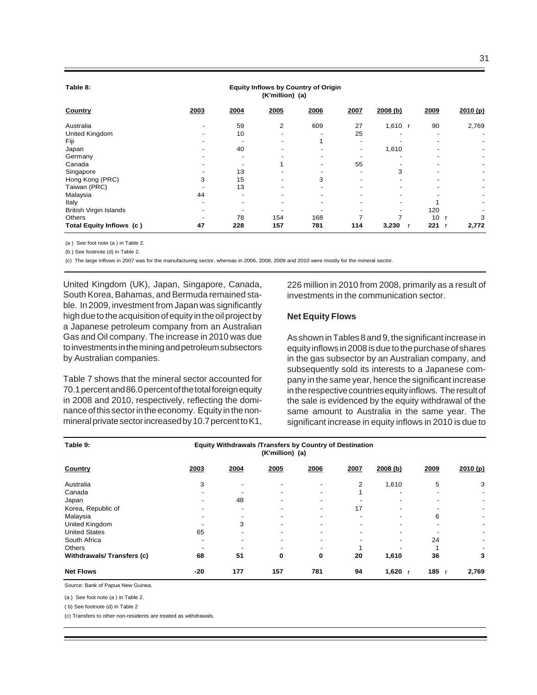| Table 8: |  |
|----------|--|
|          |  |

#### **Equity Inflows by Country of Origin (K'million) (a)**

| Country                  | 2003 | 2004 | 2005 | 2006 | 2007                     | 2008(b)   | 2009      | 2010(p)                  |
|--------------------------|------|------|------|------|--------------------------|-----------|-----------|--------------------------|
| Australia                |      | 59   | 2    | 609  | 27                       | 1,610 $r$ | 90        | 2,769                    |
| United Kingdom           |      | 10   |      |      | 25                       |           | -         |                          |
| Fiji                     |      |      |      |      | $\overline{\phantom{0}}$ |           |           |                          |
| Japan                    |      | 40   |      |      | -                        | 1,610     |           |                          |
| Germany                  |      |      |      |      |                          |           |           | $\overline{\phantom{a}}$ |
| Canada                   |      |      |      |      | 55                       |           |           | $\overline{\phantom{a}}$ |
| Singapore                |      | 13   |      |      |                          | 3         |           |                          |
| Hong Kong (PRC)          | 3    | 15   |      | 3    |                          |           |           |                          |
| Taiwan (PRC)             |      | 13   |      |      |                          |           |           |                          |
| Malaysia                 | 44   |      |      |      |                          |           |           |                          |
| Italy                    |      |      |      |      |                          |           |           |                          |
| British Virgin Islands   |      |      |      |      |                          |           | 120       |                          |
| Others                   |      | 78   | 154  | 168  |                          |           | 10<br>- r | 3                        |
| Total Equity Inflows (c) | 47   | 228  | 157  | 781  | 114                      | 3,230     | 221       | 2,772                    |

(a ) See foot note (a ) in Table 2.

(b ) See footnote (d) in Table 2.

(c) The large inflows in 2007 was for the manufacturing sector, whereas in 2006, 2008, 2009 and 2010 were mostly for the mineral sector.

United Kingdom (UK), Japan, Singapore, Canada, South Korea, Bahamas, and Bermuda remained stable. In 2009, investment from Japan was significantly high due to the acquisition of equity in the oil project by a Japanese petroleum company from an Australian Gas and Oil company. The increase in 2010 was due to investments in the mining and petroleum subsectors by Australian companies.

Table 7 shows that the mineral sector accounted for 70.1 percent and 86.0 percent of the total foreign equity in 2008 and 2010, respectively, reflecting the dominance of this sector in the economy. Equity in the nonmineral private sector increased by 10.7 percent to K1,

226 million in 2010 from 2008, primarily as a result of investments in the communication sector.

#### **Net Equity Flows**

As shown in Tables 8 and 9, the significant increase in equity inflows in 2008 is due to the purchase of shares in the gas subsector by an Australian company, and subsequently sold its interests to a Japanese company in the same year, hence the significant increase in the respective countries equity inflows. The result of the sale is evidenced by the equity withdrawal of the same amount to Australia in the same year. The significant increase in equity inflows in 2010 is due to

| Table 9:                  | Equity Withdrawals /Transfers by Country of Destination |      |      |                          |      |                          |                          |                          |
|---------------------------|---------------------------------------------------------|------|------|--------------------------|------|--------------------------|--------------------------|--------------------------|
| Country                   | 2003                                                    | 2004 | 2005 | 2006                     | 2007 | 2008 (b)                 | 2009                     | 2010(p)                  |
| Australia                 | 3                                                       |      |      |                          | 2    | 1,610                    | 5                        | 3                        |
| Canada                    |                                                         |      |      |                          |      |                          | $\overline{\phantom{a}}$ | $\overline{\phantom{a}}$ |
| Japan                     |                                                         | 48   |      | -                        |      |                          | $\overline{\phantom{0}}$ | $\overline{\phantom{a}}$ |
| Korea, Republic of        |                                                         |      |      | $\overline{\phantom{0}}$ | 17   |                          |                          | $\overline{\phantom{a}}$ |
| Malaysia                  |                                                         |      |      |                          |      | $\overline{\phantom{0}}$ | 6                        | $\overline{\phantom{a}}$ |
| United Kingdom            |                                                         | 3    |      |                          |      |                          | $\overline{\phantom{0}}$ | $\overline{\phantom{a}}$ |
| <b>United States</b>      | 65                                                      |      |      |                          |      |                          |                          | $\overline{\phantom{a}}$ |
| South Africa              |                                                         |      |      |                          |      |                          | 24                       | $\overline{\phantom{a}}$ |
| <b>Others</b>             |                                                         |      |      |                          |      |                          |                          | $\overline{\phantom{a}}$ |
| Withdrawals/Transfers (c) | 68                                                      | 51   | 0    | 0                        | 20   | 1,610                    | 36                       | 3                        |
| <b>Net Flows</b>          | $-20$                                                   | 177  | 157  | 781                      | 94   | 1,620                    | $185$ r                  | 2,769                    |

Source: Bank of Papua New Guinea.

(a ) See foot note (a ) in Table 2.

( b) See footnote (d) in Table 2

(c) Transfers to other non-residents are treated as withdrawals.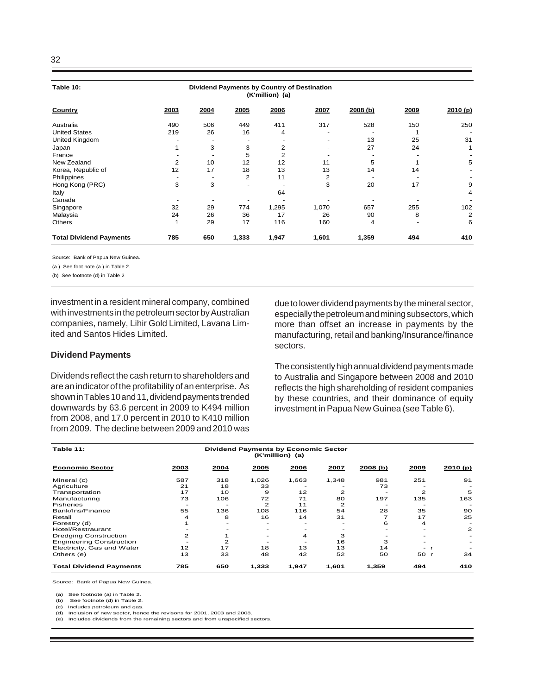| Table 10:                      | Dividend Payments by Country of Destination<br>(K'million) (a) |      |       |       |       |         |      |         |
|--------------------------------|----------------------------------------------------------------|------|-------|-------|-------|---------|------|---------|
| Country                        | 2003                                                           | 2004 | 2005  | 2006  | 2007  | 2008(b) | 2009 | 2010(p) |
| Australia                      | 490                                                            | 506  | 449   | 411   | 317   | 528     | 150  | 250     |
| <b>United States</b>           | 219                                                            | 26   | 16    | 4     |       |         |      |         |
| United Kingdom                 |                                                                |      |       |       |       | 13      | 25   | 31      |
| Japan                          |                                                                | 3    | 3     | 2     |       | 27      | 24   | 1       |
| France                         |                                                                |      | 5     | 2     |       |         |      |         |
| New Zealand                    | 2                                                              | 10   | 12    | 12    | 11    | 5       |      | 5       |
| Korea, Republic of             | 12                                                             | 17   | 18    | 13    | 13    | 14      | 14   |         |
| Philippines                    |                                                                |      | 2     | 11    | 2     |         |      |         |
| Hong Kong (PRC)                | 3                                                              | 3    |       |       | 3     | 20      | 17   | 9       |
| Italy                          |                                                                |      |       | 64    |       |         |      | 4       |
| Canada                         |                                                                |      |       |       |       |         |      |         |
| Singapore                      | 32                                                             | 29   | 774   | 1,295 | 1,070 | 657     | 255  | 102     |
| Malaysia                       | 24                                                             | 26   | 36    | 17    | 26    | 90      | 8    | 2       |
| Others                         | 1                                                              | 29   | 17    | 116   | 160   | 4       |      | 6       |
| <b>Total Dividend Payments</b> | 785                                                            | 650  | 1,333 | 1,947 | 1,601 | 1,359   | 494  | 410     |

Source: Bank of Papua New Guinea.

(a ) See foot note (a ) in Table 2.

(b) See footnote (d) in Table 2

investment in a resident mineral company, combined with investments in the petroleum sector by Australian companies, namely, Lihir Gold Limited, Lavana Limited and Santos Hides Limited.

#### **Dividend Payments**

Dividends reflect the cash return to shareholders and are an indicator of the profitability of an enterprise. As shown in Tables 10 and 11, dividend payments trended downwards by 63.6 percent in 2009 to K494 million from 2008, and 17.0 percent in 2010 to K410 million from 2009. The decline between 2009 and 2010 was due to lower dividend payments by the mineral sector, especially the petroleum and mining subsectors, which more than offset an increase in payments by the manufacturing, retail and banking/Insurance/finance sectors.

The consistently high annual dividend payments made to Australia and Singapore between 2008 and 2010 reflects the high shareholding of resident companies by these countries, and their dominance of equity investment in Papua New Guinea (see Table 6).

| Table 11:                       |              |      | <b>Dividend Payments by Economic Sector</b><br>(K'million) (a) |       |       |         |                          |                          |
|---------------------------------|--------------|------|----------------------------------------------------------------|-------|-------|---------|--------------------------|--------------------------|
| <b>Economic Sector</b>          | 2003         | 2004 | 2005                                                           | 2006  | 2007  | 2008(b) | 2009                     | 2010(p)                  |
| Mineral (c)                     | 587          | 318  | 1,026                                                          | 1,663 | 1,348 | 981     | 251                      | 91                       |
| Agriculture                     | 21           | 18   | 33                                                             |       |       | 73      |                          |                          |
| Transportation                  | 17           | 10   | 9                                                              | 12    | 2     |         | $\mathbf{z}$             | 5                        |
| Manufacturing                   | 73           | 106  | 72                                                             | 71    | 80    | 197     | 135                      | 163                      |
| <b>Fisheries</b>                |              |      | 2                                                              | 11    | 2     |         |                          |                          |
| Bank/Ins/Finance                | 55           | 136  | 108                                                            | 116   | 54    | 28      | 35                       | 90                       |
| Retail                          | 4            | 8    | 16                                                             | 14    | 31    |         | 17                       | 25                       |
| Forestry (d)                    |              |      |                                                                |       |       | 6       | 4                        |                          |
| Hotel/Restraurant               |              |      |                                                                |       |       |         |                          | $\mathbf{2}$             |
| <b>Dredging Construction</b>    | $\mathbf{Z}$ |      |                                                                | 4     | з     |         |                          |                          |
| <b>Engineering Construction</b> |              | 2    |                                                                |       | 16    | З       |                          | $\overline{\phantom{0}}$ |
| Electricity, Gas and Water      | 12           | 17   | 18                                                             | 13    | 13    | 14      | $\overline{\phantom{0}}$ |                          |
| Others (e)                      | 13           | 33   | 48                                                             | 42    | 52    | 50      | 50 r                     | 34                       |
| <b>Total Dividend Payments</b>  | 785          | 650  | 1,333                                                          | 1,947 | 1,601 | 1,359   | 494                      | 410                      |

Source: Bank of Papua New Guinea.

(a) See footnote (a) in Table 2.

(b) See footnote (d) in Table 2.<br>(c) Includes petroleum and gas.

Includes petroleum and gas.

(d) Inclusion of new sector, hence the revisons for 2001, 2003 and 2008. (e) Includes dividends from the remaining sectors and from unspecified sectors.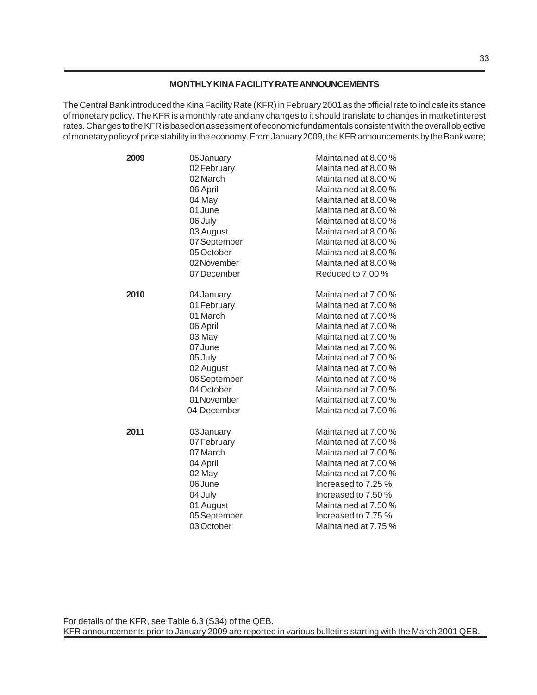## **MONTHLY KINA FACILITY RATE ANNOUNCEMENTS**

The Central Bank introduced the Kina Facility Rate (KFR) in February 2001 as the official rate to indicate its stance of monetary policy. The KFR is a monthly rate and any changes to it should translate to changes in market interest rates. Changes to the KFR is based on assessment of economic fundamentals consistent with the overall objective of monetary policy of price stability in the economy. From January 2009, the KFR announcements by the Bank were;

| 2009 | 05 January   | Maintained at 8.00 % |
|------|--------------|----------------------|
|      | 02 February  | Maintained at 8.00 % |
|      | 02 March     | Maintained at 8.00 % |
|      | 06 April     | Maintained at 8.00 % |
|      | 04 May       | Maintained at 8.00 % |
|      | 01 June      | Maintained at 8.00 % |
|      | 06 July      | Maintained at 8.00 % |
|      | 03 August    | Maintained at 8.00 % |
|      | 07 September | Maintained at 8.00 % |
|      | 05 October   | Maintained at 8.00 % |
|      | 02 November  | Maintained at 8.00 % |
|      | 07 December  | Reduced to 7.00 %    |
| 2010 | 04 January   | Maintained at 7.00 % |
|      | 01 February  | Maintained at 7.00 % |
|      | 01 March     | Maintained at 7.00 % |
|      | 06 April     | Maintained at 7.00 % |
|      | 03 May       | Maintained at 7.00 % |
|      | 07 June      | Maintained at 7.00 % |
|      | 05 July      | Maintained at 7.00 % |
|      | 02 August    | Maintained at 7.00 % |
|      | 06 September | Maintained at 7.00 % |
|      | 04 October   | Maintained at 7.00 % |
|      | 01 November  | Maintained at 7.00 % |
|      | 04 December  | Maintained at 7.00 % |
| 2011 | 03 January   | Maintained at 7.00 % |
|      | 07 February  | Maintained at 7.00 % |
|      | 07 March     | Maintained at 7.00 % |
|      | 04 April     | Maintained at 7.00 % |
|      | 02 May       | Maintained at 7.00 % |
|      | 06 June      | Increased to 7.25 %  |
|      | 04 July      | Increased to 7.50 %  |
|      | 01 August    | Maintained at 7.50 % |
|      | 05 September | Increased to 7.75 %  |
|      | 03 October   | Maintained at 7.75 % |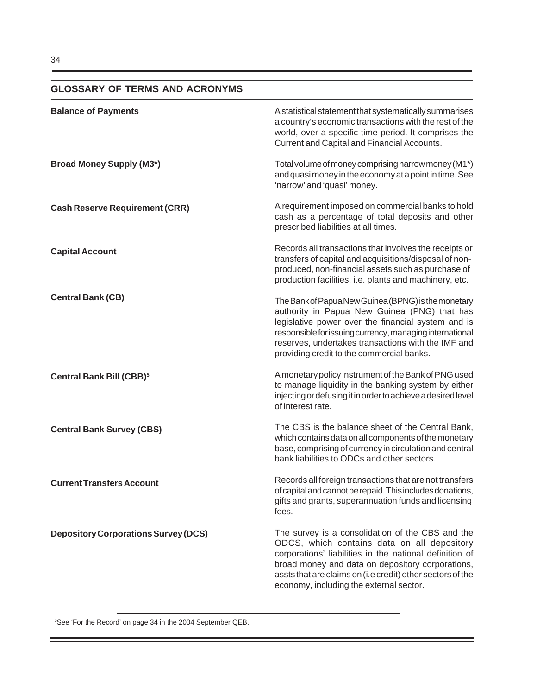# **GLOSSARY OF TERMS AND ACRONYMS**

| <b>Balance of Payments</b>                  | A statistical statement that systematically summarises<br>a country's economic transactions with the rest of the<br>world, over a specific time period. It comprises the<br>Current and Capital and Financial Accounts.                                                                                                  |
|---------------------------------------------|--------------------------------------------------------------------------------------------------------------------------------------------------------------------------------------------------------------------------------------------------------------------------------------------------------------------------|
| <b>Broad Money Supply (M3*)</b>             | Total volume of money comprising narrow money (M1*)<br>and quasi money in the economy at a point in time. See<br>'narrow' and 'quasi' money.                                                                                                                                                                             |
| <b>Cash Reserve Requirement (CRR)</b>       | A requirement imposed on commercial banks to hold<br>cash as a percentage of total deposits and other<br>prescribed liabilities at all times.                                                                                                                                                                            |
| <b>Capital Account</b>                      | Records all transactions that involves the receipts or<br>transfers of capital and acquisitions/disposal of non-<br>produced, non-financial assets such as purchase of<br>production facilities, i.e. plants and machinery, etc.                                                                                         |
| <b>Central Bank (CB)</b>                    | The Bank of Papua New Guinea (BPNG) is the monetary<br>authority in Papua New Guinea (PNG) that has<br>legislative power over the financial system and is<br>responsible for issuing currency, managing international<br>reserves, undertakes transactions with the IMF and<br>providing credit to the commercial banks. |
| Central Bank Bill (CBB) <sup>5</sup>        | A monetary policy instrument of the Bank of PNG used<br>to manage liquidity in the banking system by either<br>injecting or defusing it in order to achieve a desired level<br>of interest rate.                                                                                                                         |
| <b>Central Bank Survey (CBS)</b>            | The CBS is the balance sheet of the Central Bank,<br>which contains data on all components of the monetary<br>base, comprising of currency in circulation and central<br>bank liabilities to ODCs and other sectors.                                                                                                     |
| <b>Current Transfers Account</b>            | Records all foreign transactions that are not transfers<br>of capital and cannot be repaid. This includes donations,<br>gifts and grants, superannuation funds and licensing<br>fees.                                                                                                                                    |
| <b>Depository Corporations Survey (DCS)</b> | The survey is a consolidation of the CBS and the<br>ODCS, which contains data on all depository<br>corporations' liabilities in the national definition of<br>broad money and data on depository corporations,<br>assts that are claims on (i.e credit) other sectors of the<br>economy, including the external sector.  |

5 See 'For the Record' on page 34 in the 2004 September QEB.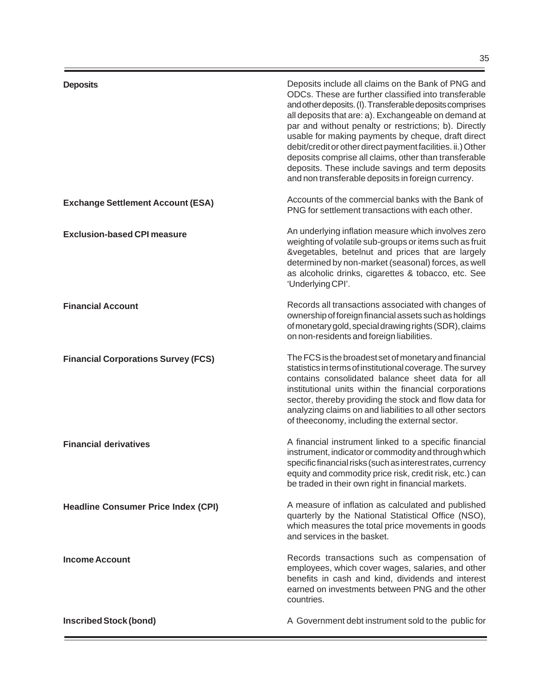**Exchange Settlement Account (ESA)**

**Financial Corporations Survey (FCS)**

**Headline Consumer Price Index (CPI)**

**Exclusion-based CPI measure**

**Financial Account**

**Financial derivatives**

**Income Account**

**Inscribed Stock (bond)**

Deposits include all claims on the Bank of PNG and ODCs. These are further classified into transferable and other deposits. (I). Transferable deposits comprises all deposits that are: a). Exchangeable on demand at par and without penalty or restrictions; b). Directly usable for making payments by cheque, draft direct debit/credit or other direct payment facilities. ii.) Other deposits comprise all claims, other than transferable deposits. These include savings and term deposits and non transferable deposits in foreign currency.

Accounts of the commercial banks with the Bank of PNG for settlement transactions with each other.

An underlying inflation measure which involves zero weighting of volatile sub-groups or items such as fruit &vegetables, betelnut and prices that are largely determined by non-market (seasonal) forces, as well as alcoholic drinks, cigarettes & tobacco, etc. See 'Underlying CPI'.

Records all transactions associated with changes of ownership of foreign financial assets such as holdings of monetary gold, special drawing rights (SDR), claims on non-residents and foreign liabilities.

The FCS is the broadest set of monetary and financial statistics in terms of institutional coverage. The survey contains consolidated balance sheet data for all institutional units within the financial corporations sector, thereby providing the stock and flow data for analyzing claims on and liabilities to all other sectors of theeconomy, including the external sector.

A financial instrument linked to a specific financial instrument, indicator or commodity and through which specific financial risks (such as interest rates, currency equity and commodity price risk, credit risk, etc.) can be traded in their own right in financial markets.

A measure of inflation as calculated and published quarterly by the National Statistical Office (NSO), which measures the total price movements in goods and services in the basket.

Records transactions such as compensation of employees, which cover wages, salaries, and other benefits in cash and kind, dividends and interest earned on investments between PNG and the other countries.

A Government debt instrument sold to the public for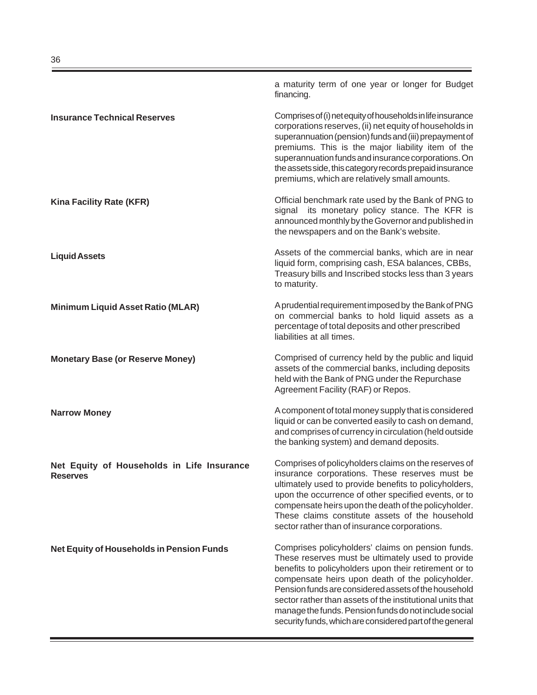|                                                               | a maturity term of one year or longer for Budget<br>financing.                                                                                                                                                                                                                                                                                                                                                                                                |
|---------------------------------------------------------------|---------------------------------------------------------------------------------------------------------------------------------------------------------------------------------------------------------------------------------------------------------------------------------------------------------------------------------------------------------------------------------------------------------------------------------------------------------------|
| <b>Insurance Technical Reserves</b>                           | Comprises of (i) net equity of households in life insurance<br>corporations reserves, (ii) net equity of households in<br>superannuation (pension) funds and (iii) prepayment of<br>premiums. This is the major liability item of the<br>superannuation funds and insurance corporations. On<br>the assets side, this category records prepaid insurance<br>premiums, which are relatively small amounts.                                                     |
| <b>Kina Facility Rate (KFR)</b>                               | Official benchmark rate used by the Bank of PNG to<br>signal its monetary policy stance. The KFR is<br>announced monthly by the Governor and published in<br>the newspapers and on the Bank's website.                                                                                                                                                                                                                                                        |
| <b>Liquid Assets</b>                                          | Assets of the commercial banks, which are in near<br>liquid form, comprising cash, ESA balances, CBBs,<br>Treasury bills and Inscribed stocks less than 3 years<br>to maturity.                                                                                                                                                                                                                                                                               |
| <b>Minimum Liquid Asset Ratio (MLAR)</b>                      | A prudential requirement imposed by the Bank of PNG<br>on commercial banks to hold liquid assets as a<br>percentage of total deposits and other prescribed<br>liabilities at all times.                                                                                                                                                                                                                                                                       |
| <b>Monetary Base (or Reserve Money)</b>                       | Comprised of currency held by the public and liquid<br>assets of the commercial banks, including deposits<br>held with the Bank of PNG under the Repurchase<br>Agreement Facility (RAF) or Repos.                                                                                                                                                                                                                                                             |
| <b>Narrow Money</b>                                           | A component of total money supply that is considered<br>liquid or can be converted easily to cash on demand,<br>and comprises of currency in circulation (held outside<br>the banking system) and demand deposits.                                                                                                                                                                                                                                            |
| Net Equity of Households in Life Insurance<br><b>Reserves</b> | Comprises of policyholders claims on the reserves of<br>insurance corporations. These reserves must be<br>ultimately used to provide benefits to policyholders,<br>upon the occurrence of other specified events, or to<br>compensate heirs upon the death of the policyholder.<br>These claims constitute assets of the household<br>sector rather than of insurance corporations.                                                                           |
| Net Equity of Households in Pension Funds                     | Comprises policyholders' claims on pension funds.<br>These reserves must be ultimately used to provide<br>benefits to policyholders upon their retirement or to<br>compensate heirs upon death of the policyholder.<br>Pension funds are considered assets of the household<br>sector rather than assets of the institutional units that<br>manage the funds. Pension funds do not include social<br>security funds, which are considered part of the general |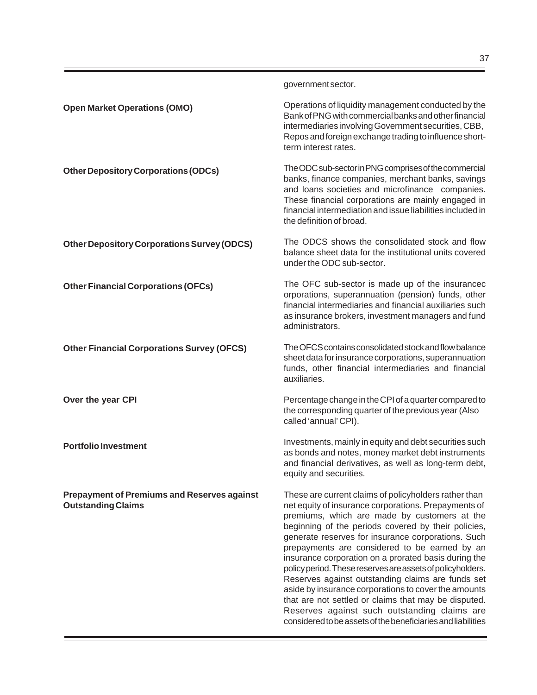|                                                                                 | government sector.                                                                                                                                                                                                                                                                                                                                                                                                                                                                                                                                                                                                                                                                                                                     |
|---------------------------------------------------------------------------------|----------------------------------------------------------------------------------------------------------------------------------------------------------------------------------------------------------------------------------------------------------------------------------------------------------------------------------------------------------------------------------------------------------------------------------------------------------------------------------------------------------------------------------------------------------------------------------------------------------------------------------------------------------------------------------------------------------------------------------------|
| <b>Open Market Operations (OMO)</b>                                             | Operations of liquidity management conducted by the<br>Bank of PNG with commercial banks and other financial<br>intermediaries involving Government securities, CBB,<br>Repos and foreign exchange trading to influence short-<br>term interest rates.                                                                                                                                                                                                                                                                                                                                                                                                                                                                                 |
| <b>Other Depository Corporations (ODCs)</b>                                     | The ODC sub-sector in PNG comprises of the commercial<br>banks, finance companies, merchant banks, savings<br>and loans societies and microfinance companies.<br>These financial corporations are mainly engaged in<br>financial intermediation and issue liabilities included in<br>the definition of broad.                                                                                                                                                                                                                                                                                                                                                                                                                          |
| <b>Other Depository Corporations Survey (ODCS)</b>                              | The ODCS shows the consolidated stock and flow<br>balance sheet data for the institutional units covered<br>under the ODC sub-sector.                                                                                                                                                                                                                                                                                                                                                                                                                                                                                                                                                                                                  |
| <b>Other Financial Corporations (OFCs)</b>                                      | The OFC sub-sector is made up of the insurancec<br>orporations, superannuation (pension) funds, other<br>financial intermediaries and financial auxiliaries such<br>as insurance brokers, investment managers and fund<br>administrators.                                                                                                                                                                                                                                                                                                                                                                                                                                                                                              |
| <b>Other Financial Corporations Survey (OFCS)</b>                               | The OFCS contains consolidated stock and flow balance<br>sheet data for insurance corporations, superannuation<br>funds, other financial intermediaries and financial<br>auxiliaries.                                                                                                                                                                                                                                                                                                                                                                                                                                                                                                                                                  |
| Over the year CPI                                                               | Percentage change in the CPI of a quarter compared to<br>the corresponding quarter of the previous year (Also<br>called 'annual' CPI).                                                                                                                                                                                                                                                                                                                                                                                                                                                                                                                                                                                                 |
| <b>Portfolio Investment</b>                                                     | Investments, mainly in equity and debt securities such<br>as bonds and notes, money market debt instruments<br>and financial derivatives, as well as long-term debt,<br>equity and securities.                                                                                                                                                                                                                                                                                                                                                                                                                                                                                                                                         |
| <b>Prepayment of Premiums and Reserves against</b><br><b>Outstanding Claims</b> | These are current claims of policyholders rather than<br>net equity of insurance corporations. Prepayments of<br>premiums, which are made by customers at the<br>beginning of the periods covered by their policies,<br>generate reserves for insurance corporations. Such<br>prepayments are considered to be earned by an<br>insurance corporation on a prorated basis during the<br>policy period. These reserves are assets of policyholders.<br>Reserves against outstanding claims are funds set<br>aside by insurance corporations to cover the amounts<br>that are not settled or claims that may be disputed.<br>Reserves against such outstanding claims are<br>considered to be assets of the beneficiaries and liabilities |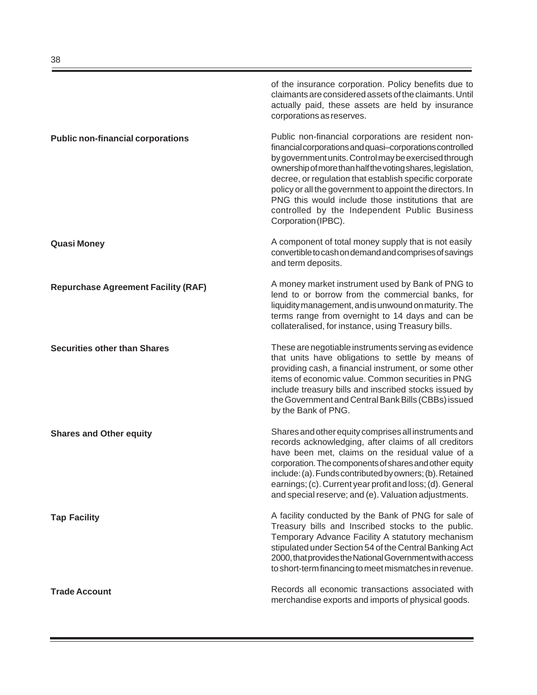of the insurance corporation. Policy benefits due to claimants are considered assets of the claimants. Until actually paid, these assets are held by insurance corporations as reserves. Public non-financial corporations are resident nonfinancial corporations and quasi–corporations controlled by government units. Control may be exercised through ownership of more than half the voting shares, legislation, decree, or regulation that establish specific corporate policy or all the government to appoint the directors. In PNG this would include those institutions that are controlled by the Independent Public Business Corporation (IPBC). A component of total money supply that is not easily convertible to cash on demand and comprises of savings and term deposits. A money market instrument used by Bank of PNG to lend to or borrow from the commercial banks, for liquidity management, and is unwound on maturity. The terms range from overnight to 14 days and can be collateralised, for instance, using Treasury bills. These are negotiable instruments serving as evidence that units have obligations to settle by means of providing cash, a financial instrument, or some other items of economic value. Common securities in PNG include treasury bills and inscribed stocks issued by the Government and Central Bank Bills (CBBs) issued by the Bank of PNG. Shares and other equity comprises all instruments and records acknowledging, after claims of all creditors have been met, claims on the residual value of a corporation. The components of shares and other equity include: (a). Funds contributed by owners; (b). Retained earnings; (c). Current year profit and loss; (d). General and special reserve; and (e). Valuation adjustments. A facility conducted by the Bank of PNG for sale of Treasury bills and Inscribed stocks to the public. Temporary Advance Facility A statutory mechanism stipulated under Section 54 of the Central Banking Act 2000, that provides the National Government with access to short-term financing to meet mismatches in revenue. Records all economic transactions associated with merchandise exports and imports of physical goods. **Public non-financial corporations Quasi Money Repurchase Agreement Facility (RAF) Securities other than Shares Shares and Other equity Tap Facility Trade Account**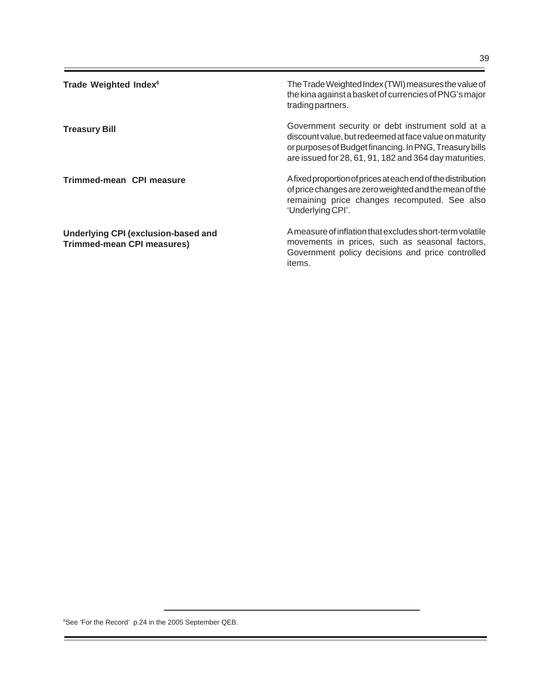| Trade Weighted Index <sup>6</sup>                                               | The Trade Weighted Index (TWI) measures the value of<br>the kina against a basket of currencies of PNG's major<br>trading partners.                                                                                             |
|---------------------------------------------------------------------------------|---------------------------------------------------------------------------------------------------------------------------------------------------------------------------------------------------------------------------------|
| <b>Treasury Bill</b>                                                            | Government security or debt instrument sold at a<br>discount value, but redeemed at face value on maturity<br>or purposes of Budget financing. In PNG, Treasury bills<br>are issued for 28, 61, 91, 182 and 364 day maturities. |
| Trimmed-mean CPI measure                                                        | A fixed proportion of prices at each end of the distribution<br>of price changes are zero weighted and the mean of the<br>remaining price changes recomputed. See also<br>'Underlying CPI'.                                     |
| <b>Underlying CPI (exclusion-based and</b><br><b>Trimmed-mean CPI measures)</b> | A measure of inflation that excludes short-term volatile<br>movements in prices, such as seasonal factors,<br>Government policy decisions and price controlled                                                                  |

items.

6 See 'For the Record' p.24 in the 2005 September QEB.

÷,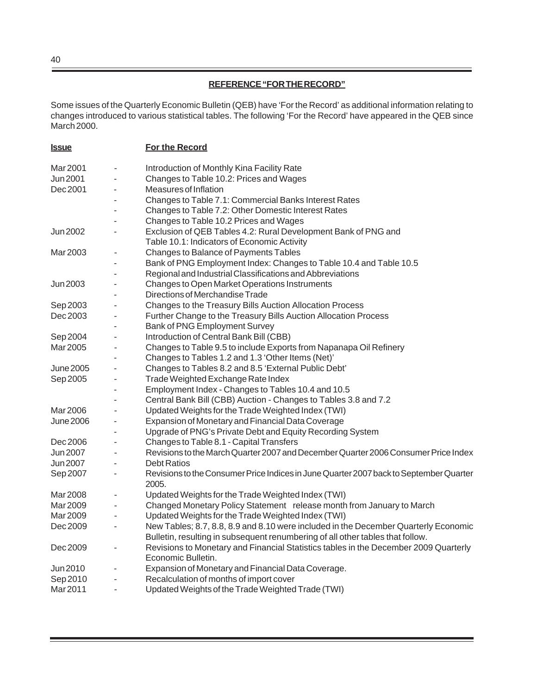# **REFERENCE "FOR THE RECORD"**

Some issues of the Quarterly Economic Bulletin (QEB) have 'For the Record' as additional information relating to changes introduced to various statistical tables. The following 'For the Record' have appeared in the QEB since March 2000.

| <b>Issue</b>     |                              | For the Record                                                                                                                                                        |
|------------------|------------------------------|-----------------------------------------------------------------------------------------------------------------------------------------------------------------------|
| Mar 2001         | ٠                            | Introduction of Monthly Kina Facility Rate                                                                                                                            |
| Jun 2001         |                              | Changes to Table 10.2: Prices and Wages                                                                                                                               |
| Dec 2001         |                              | Measures of Inflation                                                                                                                                                 |
|                  |                              | Changes to Table 7.1: Commercial Banks Interest Rates                                                                                                                 |
|                  |                              | Changes to Table 7.2: Other Domestic Interest Rates                                                                                                                   |
|                  |                              | Changes to Table 10.2 Prices and Wages                                                                                                                                |
| Jun 2002         |                              | Exclusion of QEB Tables 4.2: Rural Development Bank of PNG and                                                                                                        |
|                  |                              | Table 10.1: Indicators of Economic Activity                                                                                                                           |
| Mar 2003         |                              | Changes to Balance of Payments Tables                                                                                                                                 |
|                  |                              | Bank of PNG Employment Index: Changes to Table 10.4 and Table 10.5                                                                                                    |
|                  |                              | Regional and Industrial Classifications and Abbreviations                                                                                                             |
| Jun 2003         | $\qquad \qquad \blacksquare$ | Changes to Open Market Operations Instruments                                                                                                                         |
|                  |                              | Directions of Merchandise Trade                                                                                                                                       |
| Sep 2003         | $\overline{\phantom{a}}$     | Changes to the Treasury Bills Auction Allocation Process                                                                                                              |
| Dec 2003         | $\overline{\phantom{a}}$     | Further Change to the Treasury Bills Auction Allocation Process                                                                                                       |
|                  |                              | <b>Bank of PNG Employment Survey</b>                                                                                                                                  |
| Sep 2004         | $\overline{\phantom{a}}$     | Introduction of Central Bank Bill (CBB)                                                                                                                               |
| Mar 2005         | ۰                            | Changes to Table 9.5 to include Exports from Napanapa Oil Refinery                                                                                                    |
|                  |                              | Changes to Tables 1.2 and 1.3 'Other Items (Net)'                                                                                                                     |
| June 2005        | $\overline{\phantom{a}}$     | Changes to Tables 8.2 and 8.5 'External Public Debt'                                                                                                                  |
| Sep 2005         |                              | Trade Weighted Exchange Rate Index                                                                                                                                    |
|                  |                              | Employment Index - Changes to Tables 10.4 and 10.5                                                                                                                    |
|                  |                              | Central Bank Bill (CBB) Auction - Changes to Tables 3.8 and 7.2                                                                                                       |
| Mar 2006         |                              | Updated Weights for the Trade Weighted Index (TWI)                                                                                                                    |
| <b>June 2006</b> | $\overline{\phantom{a}}$     | Expansion of Monetary and Financial Data Coverage                                                                                                                     |
|                  |                              | Upgrade of PNG's Private Debt and Equity Recording System                                                                                                             |
| Dec 2006         | $\overline{\phantom{a}}$     | Changes to Table 8.1 - Capital Transfers                                                                                                                              |
| Jun 2007         |                              | Revisions to the March Quarter 2007 and December Quarter 2006 Consumer Price Index                                                                                    |
| Jun 2007         |                              | <b>Debt Ratios</b>                                                                                                                                                    |
| Sep 2007         | ٠                            | Revisions to the Consumer Price Indices in June Quarter 2007 back to September Quarter<br>2005.                                                                       |
| Mar 2008         |                              | Updated Weights for the Trade Weighted Index (TWI)                                                                                                                    |
| Mar 2009         |                              | Changed Monetary Policy Statement release month from January to March                                                                                                 |
| Mar 2009         | ٠                            | Updated Weights for the Trade Weighted Index (TWI)                                                                                                                    |
| Dec 2009         |                              | New Tables; 8.7, 8.8, 8.9 and 8.10 were included in the December Quarterly Economic<br>Bulletin, resulting in subsequent renumbering of all other tables that follow. |
| Dec 2009         |                              | Revisions to Monetary and Financial Statistics tables in the December 2009 Quarterly<br>Economic Bulletin.                                                            |
| Jun 2010         |                              | Expansion of Monetary and Financial Data Coverage.                                                                                                                    |
| Sep 2010         |                              | Recalculation of months of import cover                                                                                                                               |
| Mar 2011         |                              | Updated Weights of the Trade Weighted Trade (TWI)                                                                                                                     |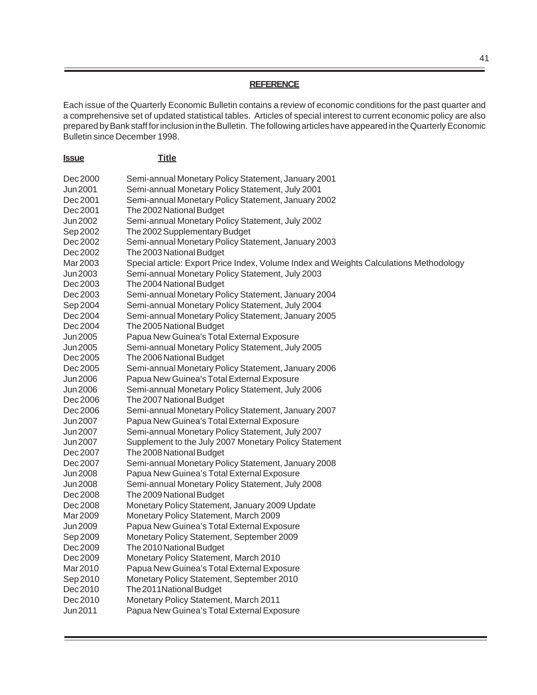#### **REFERENCE**

Each issue of the Quarterly Economic Bulletin contains a review of economic conditions for the past quarter and a comprehensive set of updated statistical tables. Articles of special interest to current economic policy are also prepared by Bank staff for inclusion in the Bulletin. The following articles have appeared in the Quarterly Economic Bulletin since December 1998.

| <u>Issue</u> | <b>Title</b>                                                                           |
|--------------|----------------------------------------------------------------------------------------|
| Dec 2000     | Semi-annual Monetary Policy Statement, January 2001                                    |
| Jun 2001     | Semi-annual Monetary Policy Statement, July 2001                                       |
| Dec 2001     | Semi-annual Monetary Policy Statement, January 2002                                    |
| Dec 2001     | The 2002 National Budget                                                               |
| Jun 2002     | Semi-annual Monetary Policy Statement, July 2002                                       |
| Sep 2002     | The 2002 Supplementary Budget                                                          |
| Dec 2002     | Semi-annual Monetary Policy Statement, January 2003                                    |
| Dec 2002     | The 2003 National Budget                                                               |
| Mar 2003     | Special article: Export Price Index, Volume Index and Weights Calculations Methodology |
| Jun 2003     | Semi-annual Monetary Policy Statement, July 2003                                       |
| Dec 2003     | The 2004 National Budget                                                               |
| Dec 2003     | Semi-annual Monetary Policy Statement, January 2004                                    |
| Sep 2004     | Semi-annual Monetary Policy Statement, July 2004                                       |
| Dec 2004     | Semi-annual Monetary Policy Statement, January 2005                                    |
| Dec 2004     | The 2005 National Budget                                                               |
| Jun 2005     | Papua New Guinea's Total External Exposure                                             |
| Jun 2005     | Semi-annual Monetary Policy Statement, July 2005                                       |
| Dec 2005     | The 2006 National Budget                                                               |
| Dec 2005     | Semi-annual Monetary Policy Statement, January 2006                                    |
| Jun 2006     | Papua New Guinea's Total External Exposure                                             |
| Jun 2006     | Semi-annual Monetary Policy Statement, July 2006                                       |
| Dec 2006     | The 2007 National Budget                                                               |
| Dec 2006     | Semi-annual Monetary Policy Statement, January 2007                                    |
| Jun 2007     | Papua New Guinea's Total External Exposure                                             |
| Jun 2007     | Semi-annual Monetary Policy Statement, July 2007                                       |
| Jun 2007     | Supplement to the July 2007 Monetary Policy Statement                                  |
| Dec 2007     | The 2008 National Budget                                                               |
| Dec 2007     | Semi-annual Monetary Policy Statement, January 2008                                    |
| Jun 2008     | Papua New Guinea's Total External Exposure                                             |
| Jun 2008     | Semi-annual Monetary Policy Statement, July 2008                                       |
| Dec 2008     | The 2009 National Budget                                                               |
| Dec 2008     | Monetary Policy Statement, January 2009 Update                                         |
| Mar 2009     | Monetary Policy Statement, March 2009                                                  |
| Jun 2009     | Papua New Guinea's Total External Exposure                                             |
| Sep 2009     | Monetary Policy Statement, September 2009                                              |
| Dec 2009     | The 2010 National Budget                                                               |
| Dec 2009     | Monetary Policy Statement, March 2010                                                  |
| Mar 2010     | Papua New Guinea's Total External Exposure                                             |
| Sep 2010     | Monetary Policy Statement, September 2010                                              |
| Dec 2010     | The 2011 National Budget                                                               |
| Dec 2010     | Monetary Policy Statement, March 2011                                                  |
| Jun 2011     | Papua New Guinea's Total External Exposure                                             |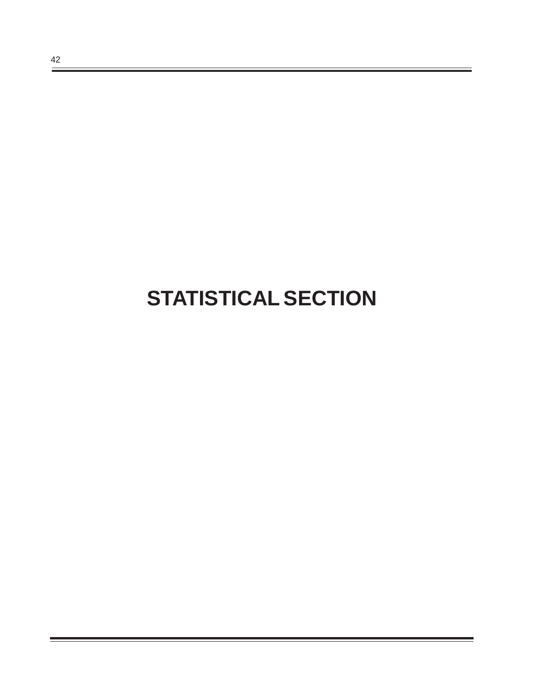# **STATISTICAL SECTION**